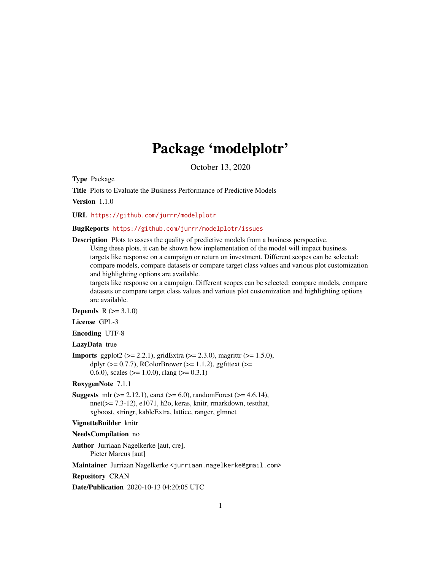# Package 'modelplotr'

October 13, 2020

Type Package

Title Plots to Evaluate the Business Performance of Predictive Models

Version 1.1.0

URL <https://github.com/jurrr/modelplotr>

# BugReports <https://github.com/jurrr/modelplotr/issues>

Description Plots to assess the quality of predictive models from a business perspective.

Using these plots, it can be shown how implementation of the model will impact business targets like response on a campaign or return on investment. Different scopes can be selected: compare models, compare datasets or compare target class values and various plot customization and highlighting options are available.

targets like response on a campaign. Different scopes can be selected: compare models, compare datasets or compare target class values and various plot customization and highlighting options are available.

**Depends**  $R (= 3.1.0)$ 

License GPL-3

Encoding UTF-8

LazyData true

**Imports** ggplot2 ( $>= 2.2.1$ ), gridExtra ( $>= 2.3.0$ ), magrittr ( $>= 1.5.0$ ), dplyr ( $>= 0.7.7$ ), RColorBrewer ( $>= 1.1.2$ ), ggfittext ( $>=$ 0.6.0), scales ( $> = 1.0.0$ ), rlang ( $>= 0.3.1$ )

RoxygenNote 7.1.1

**Suggests** mlr ( $>= 2.12.1$ ), caret ( $>= 6.0$ ), randomForest ( $>= 4.6.14$ ), nnet(>= 7.3-12), e1071, h2o, keras, knitr, rmarkdown, testthat, xgboost, stringr, kableExtra, lattice, ranger, glmnet

# VignetteBuilder knitr

# NeedsCompilation no

Author Jurriaan Nagelkerke [aut, cre], Pieter Marcus [aut]

Maintainer Jurriaan Nagelkerke <jurriaan.nagelkerke@gmail.com>

Repository CRAN

Date/Publication 2020-10-13 04:20:05 UTC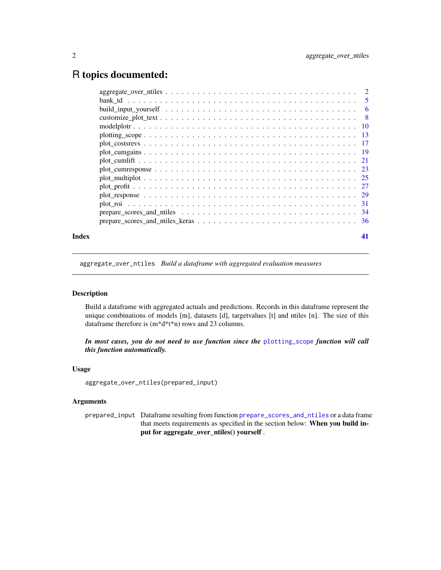# <span id="page-1-0"></span>R topics documented:

| Index | 41 |
|-------|----|

<span id="page-1-1"></span>aggregate\_over\_ntiles *Build a dataframe with aggregated evaluation measures*

# Description

Build a dataframe with aggregated actuals and predictions. Records in this dataframe represent the unique combinations of models [m], datasets [d], targetvalues [t] and ntiles [n]. The size of this dataframe therefore is (m\*d\*t\*n) rows and 23 columns.

*In most cases, you do not need to use function since the* [plotting\\_scope](#page-12-1) *function will call this function automatically.*

# Usage

aggregate\_over\_ntiles(prepared\_input)

# Arguments

prepared\_input Dataframe resulting from function [prepare\\_scores\\_and\\_ntiles](#page-33-1) or a data frame that meets requirements as specified in the section below: When you build input for aggregate\_over\_ntiles() yourself .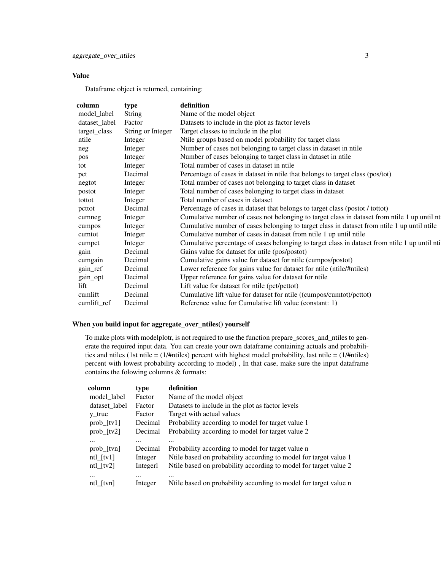# Value

Dataframe object is returned, containing:

| column        | type              | definition                                                                                    |
|---------------|-------------------|-----------------------------------------------------------------------------------------------|
| model_label   | String            | Name of the model object                                                                      |
| dataset_label | Factor            | Datasets to include in the plot as factor levels                                              |
| target_class  | String or Integer | Target classes to include in the plot                                                         |
| ntile         | Integer           | Ntile groups based on model probability for target class                                      |
| neg           | Integer           | Number of cases not belonging to target class in dataset in ntile                             |
| pos           | Integer           | Number of cases belonging to target class in dataset in ntile                                 |
| tot           | Integer           | Total number of cases in dataset in ntile.                                                    |
| pct           | Decimal           | Percentage of cases in dataset in ntile that belongs to target class (pos/tot)                |
| negtot        | Integer           | Total number of cases not belonging to target class in dataset                                |
| postot        | Integer           | Total number of cases belonging to target class in dataset                                    |
| tottot        | Integer           | Total number of cases in dataset                                                              |
| pcttot        | Decimal           | Percentage of cases in dataset that belongs to target class (postot / tottot)                 |
| cumneg        | Integer           | Cumulative number of cases not belonging to target class in dataset from ntile 1 up until nt  |
| cumpos        | Integer           | Cumulative number of cases belonging to target class in dataset from ntile 1 up until ntile   |
| cumtot        | Integer           | Cumulative number of cases in dataset from ntile 1 up until ntile                             |
| cumpct        | Integer           | Cumulative percentage of cases belonging to target class in dataset from ntile 1 up until nti |
| gain          | Decimal           | Gains value for dataset for ntile (pos/postot)                                                |
| cumgain       | Decimal           | Cumulative gains value for dataset for ntile (cumpos/postot)                                  |
| gain_ref      | Decimal           | Lower reference for gains value for dataset for ntile (ntile/#ntiles)                         |
| gain_opt      | Decimal           | Upper reference for gains value for dataset for ntile                                         |
| lift          | Decimal           | Lift value for dataset for ntile (pct/pcttot)                                                 |
| cumlift       | Decimal           | Cumulative lift value for dataset for ntile ((cumpos/cumtot)/pcttot)                          |
| cumlift_ref   | Decimal           | Reference value for Cumulative lift value (constant: 1)                                       |

# When you build input for aggregate\_over\_ntiles() yourself

To make plots with modelplotr, is not required to use the function prepare\_scores\_and\_ntiles to generate the required input data. You can create your own dataframe containing actuals and probabilities and ntiles (1st ntile =  $(1/\text{F}})$  percent with highest model probability, last ntile =  $(1/\text{F}})$ percent with lowest probability according to model) , In that case, make sure the input dataframe contains the folowing columns & formats:

| column                                                             | type                                       | definition                                                                                                                                                                                    |
|--------------------------------------------------------------------|--------------------------------------------|-----------------------------------------------------------------------------------------------------------------------------------------------------------------------------------------------|
| model_label                                                        | Factor                                     | Name of the model object                                                                                                                                                                      |
| dataset_label                                                      | Factor                                     | Datasets to include in the plot as factor levels                                                                                                                                              |
| $y_{true}$                                                         | Factor                                     | Target with actual values                                                                                                                                                                     |
| $prob_{i}[tv1]$                                                    | Decimal                                    | Probability according to model for target value 1                                                                                                                                             |
| $prob_{1}[tv2]$                                                    | Decimal                                    | Probability according to model for target value 2                                                                                                                                             |
| $\cdots$<br>prob [tvn]<br>$ntl_{\text{t}}v1$<br>$ntl_{\text{t}}v2$ | $\cdots$<br>Decimal<br>Integer<br>Integerl | <br>Probability according to model for target value n<br>Ntile based on probability according to model for target value 1<br>Nulle based on probability according to model for target value 2 |
| $\cdots$<br>ntl [tvn]                                              | $\cdots$<br>Integer                        | $\cdots$<br>Nulle based on probability according to model for target value n                                                                                                                  |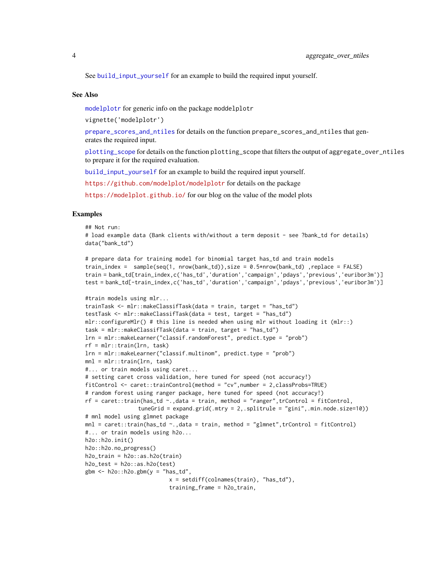<span id="page-3-0"></span>See [build\\_input\\_yourself](#page-5-1) for an example to build the required input yourself.

# See Also

[modelplotr](#page-9-1) for generic info on the package moddelplotr

vignette('modelplotr')

[prepare\\_scores\\_and\\_ntiles](#page-33-1) for details on the function prepare\_scores\_and\_ntiles that generates the required input.

[plotting\\_scope](#page-12-1) for details on the function plotting\_scope that filters the output of aggregate\_over\_ntiles to prepare it for the required evaluation.

[build\\_input\\_yourself](#page-5-1) for an example to build the required input yourself.

<https://github.com/modelplot/modelplotr> for details on the package

<https://modelplot.github.io/> for our blog on the value of the model plots

# Examples

```
## Not run:
# load example data (Bank clients with/without a term deposit - see ?bank_td for details)
data("bank_td")
```

```
# prepare data for training model for binomial target has_td and train models
train_index = sample(seq(1, nrow(bank_td)),size = 0.5*nrow(bank_td) ,replace = FALSE)
train = bank_td[train_index,c('has_td','duration','campaign','pdays','previous','euribor3m')]
test = bank_td[-train_index,c('has_td','duration','campaign','pdays','previous','euribor3m')]
```

```
#train models using mlr...
trainTask <- mlr::makeClassifTask(data = train, target = "has_td")
testTask <- mlr::makeClassifTask(data = test, target = "has_td")
mlr::configureMlr() # this line is needed when using mlr without loading it (mlr::)
task = mlr::makeClassifTask(data = train, target = "has_td")
lrn = mlr::makeLearner("classif.randomForest", predict.type = "prob")
rf = mlr::train(lrn, task)
lrn = mlr::makeLearner("classif.multinom", predict.type = "prob")
mnl = mlr::train(lrn, task)
#... or train models using caret...
# setting caret cross validation, here tuned for speed (not accuracy!)
fitControl <- caret::trainControl(method = "cv",number = 2,classProbs=TRUE)
# random forest using ranger package, here tuned for speed (not accuracy!)
rf = \text{caret::train(has_t d \textless '}, \text{data = train, method = "ranger", trControl = fitControl, }tuneGrid = expand.grid(.mtry = 2,.splitrule = "gini",.min.node.size=10))
# mnl model using glmnet package
mnl = caret::train(has_t d \sim ., data = train, method = "glmnet", trControl = fitControl)#... or train models using h2o...
h2o::h2o.init()
h2o::h2o.no_progress()
h2o_{\text{train}} = h2o::as.h2o(\text{train})h2o_test = h2o::as.h2o(test)gbm \leftarrow h2o::h2o.gbm(y = "has_t'd",x = \text{setdiff}(\text{colnames}(\text{train}), \text{ "has\_td"}),training_frame = h2o_train,
```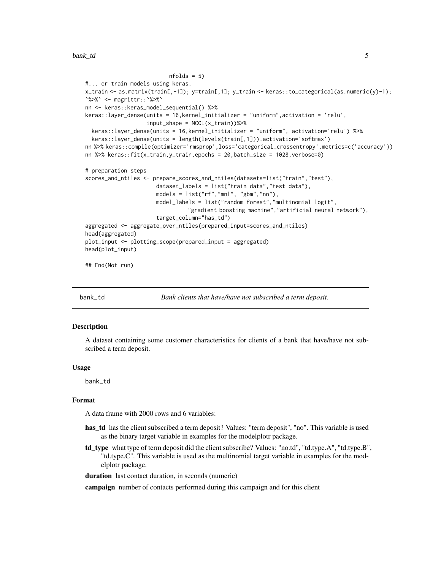```
nfolds = 5#... or train models using keras.
x_train <- as.matrix(train[,-1]); y=train[,1]; y_train <- keras::to_categorical(as.numeric(y)-1);
`%>%` <- magrittr::`%>%`
nn <- keras::keras_model_sequential() %>%
keras::layer_dense(units = 16,kernel_initializer = "uniform",activation = 'relu',
                   input_shape = NCOL(x_train))%>%
 keras::layer_dense(units = 16,kernel_initializer = "uniform", activation='relu') %>%
 keras::layer_dense(units = length(levels(train[,1])),activation='softmax')
nn %>% keras::compile(optimizer='rmsprop',loss='categorical_crossentropy',metrics=c('accuracy'))
nn %>% keras::fit(x_train,y_train,epochs = 20,batch_size = 1028,verbose=0)
# preparation steps
scores_and_ntiles <- prepare_scores_and_ntiles(datasets=list("train","test"),
                      dataset_labels = list("train data","test data"),
                      models = list("rf","mnl", "gbm","nn"),
                      model_labels = list("random forest","multinomial logit",
                                "gradient boosting machine","artificial neural network"),
                      target_column="has_td")
aggregated <- aggregate_over_ntiles(prepared_input=scores_and_ntiles)
head(aggregated)
plot_input <- plotting_scope(prepared_input = aggregated)
head(plot_input)
## End(Not run)
```
bank\_td *Bank clients that have/have not subscribed a term deposit.*

# Description

A dataset containing some customer characteristics for clients of a bank that have/have not subscribed a term deposit.

#### Usage

bank\_td

# Format

A data frame with 2000 rows and 6 variables:

- has\_td has the client subscribed a term deposit? Values: "term deposit", "no". This variable is used as the binary target variable in examples for the modelplotr package.
- td\_type what type of term deposit did the client subscribe? Values: "no.td", "td.type.A", "td.type.B", "td.type.C". This variable is used as the multinomial target variable in examples for the modelplotr package.

duration last contact duration, in seconds (numeric)

campaign number of contacts performed during this campaign and for this client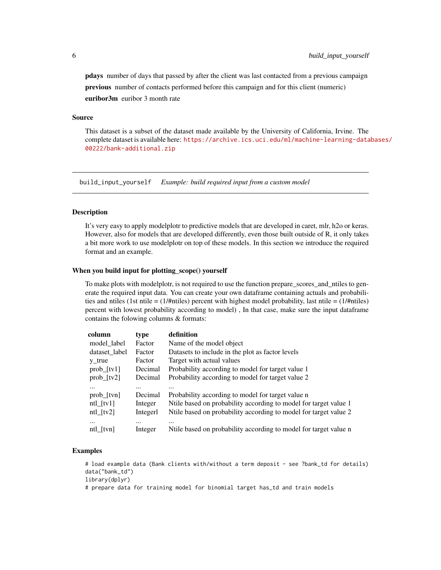<span id="page-5-0"></span>pdays number of days that passed by after the client was last contacted from a previous campaign previous number of contacts performed before this campaign and for this client (numeric) euribor3m euribor 3 month rate

# Source

This dataset is a subset of the dataset made available by the University of California, Irvine. The complete dataset is available here: [https://archive.ics.uci.edu/ml/machine-learning-data](https://archive.ics.uci.edu/ml/machine-learning-databases/00222/bank-additional.zip)bases/ [00222/bank-additional.zip](https://archive.ics.uci.edu/ml/machine-learning-databases/00222/bank-additional.zip)

<span id="page-5-1"></span>build\_input\_yourself *Example: build required input from a custom model*

# Description

It's very easy to apply modelplotr to predictive models that are developed in caret, mlr, h2o or keras. However, also for models that are developed differently, even those built outside of R, it only takes a bit more work to use modelplotr on top of these models. In this section we introduce the required format and an example.

#### When you build input for plotting\_scope() yourself

To make plots with modelplotr, is not required to use the function prepare\_scores\_and\_ntiles to generate the required input data. You can create your own dataframe containing actuals and probabilities and ntiles (1st ntile =  $(1/\text{Fntiles})$  percent with highest model probability, last ntile =  $(1/\text{Fntiles})$ percent with lowest probability according to model) , In that case, make sure the input dataframe contains the folowing columns & formats:

| column                | type                | definition                                                                   |
|-----------------------|---------------------|------------------------------------------------------------------------------|
| model_label           | Factor              | Name of the model object                                                     |
| dataset_label         | Factor              | Datasets to include in the plot as factor levels                             |
| $y_{true}$            | Factor              | Target with actual values                                                    |
| $prob_{i}[tv1]$       | Decimal             | Probability according to model for target value 1                            |
| $prob_{r}[tv2]$       | Decimal             | Probability according to model for target value 2                            |
| <br>prob [tvn]        | <br>Decimal         | $\cdots$<br>Probability according to model for target value n                |
| $ntl_{\text{t}}v1$    | Integer             | Ntile based on probability according to model for target value 1             |
| $ntl_{\text{t}}v2$    | Integerl            | Ntile based on probability according to model for target value 2             |
| $\cdots$<br>ntl [tvn] | $\cdots$<br>Integer | $\cdots$<br>Nulle based on probability according to model for target value n |

# Examples

# load example data (Bank clients with/without a term deposit - see ?bank\_td for details) data("bank\_td") library(dplyr)

# prepare data for training model for binomial target has\_td and train models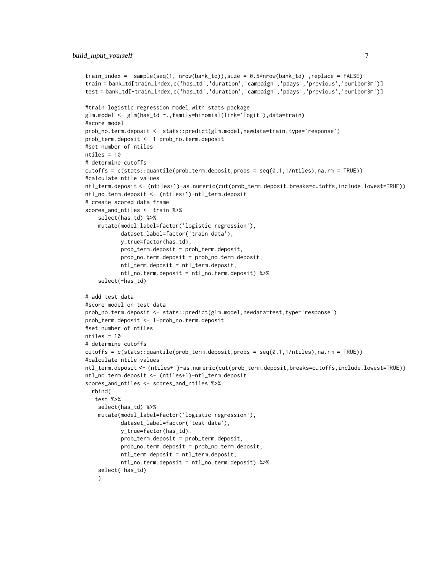```
train_index = sample(seq(1, nrow(bank_td)),size = 0.5*nrow(bank_td) ,replace = FALSE)
train = bank_td[train_index,c('has_td','duration','campaign','pdays','previous','euribor3m')]
test = bank_td[-train_index,c('has_td','duration','campaign','pdays','previous','euribor3m')]
#train logistic regression model with stats package
glm.model <- glm(has_td ~.,family=binomial(link='logit'),data=train)
#score model
prob_no.term.deposit <- stats::predict(glm.model,newdata=train,type='response')
prob_term.deposit <- 1-prob_no.term.deposit
#set number of ntiles
ntiles = 10
# determine cutoffs
cutoffs = c(stats::quantile(prob_term.deposit,probs = seq(0,1,1/ntiles),na.cm = TRUE))#calculate ntile values
ntl_term.deposit <- (ntiles+1)-as.numeric(cut(prob_term.deposit,breaks=cutoffs,include.lowest=TRUE))
ntl_no.term.deposit <- (ntiles+1)-ntl_term.deposit
# create scored data frame
scores_and_ntiles <- train %>%
    select(has_td) %>%
    mutate(model_label=factor('logistic regression'),
           dataset_label=factor('train data'),
           y_true=factor(has_td),
           prob_term.deposit = prob_term.deposit,
           prob_no.term.deposit = prob_no.term.deposit,
           ntl_term.deposit = ntl_term.deposit,
           ntl_no.term.deposit = ntl_no.term.deposit) %>%
    select(-has_td)
# add test data
#score model on test data
prob_no.term.deposit <- stats::predict(glm.model,newdata=test,type='response')
prob_term.deposit <- 1-prob_no.term.deposit
#set number of ntiles
ntiles = 10
# determine cutoffs
cutoffs = c(stats::quantile(prob_term.deposit,probs = seq(0,1,1/ntiles),na.rm = TRUE))
#calculate ntile values
ntl_term.deposit <- (ntiles+1)-as.numeric(cut(prob_term.deposit,breaks=cutoffs,include.lowest=TRUE))
ntl_no.term.deposit <- (ntiles+1)-ntl_term.deposit
scores_and_ntiles <- scores_and_ntiles %>%
 rbind(
  test %>%
    select(has_td) %>%
    mutate(model_label=factor('logistic regression'),
           dataset_label=factor('test data'),
           y_true=factor(has_td),
           prob_term.deposit = prob_term.deposit,
           prob_no.term.deposit = prob_no.term.deposit,
           ntl_term.deposit = ntl_term.deposit,
           ntl_no.term.deposit = ntl_no.term.deposit) %>%
    select(-has_td)
    )
```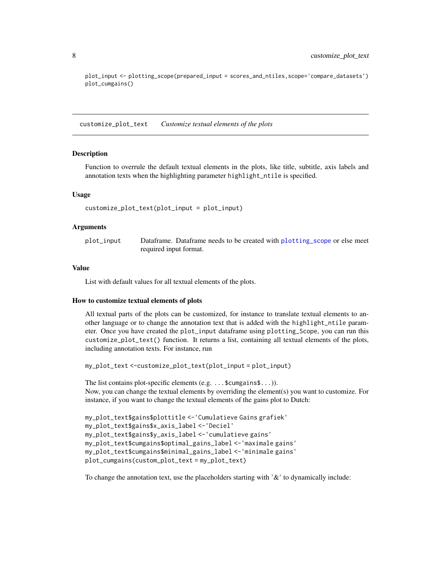plot\_input <- plotting\_scope(prepared\_input = scores\_and\_ntiles,scope='compare\_datasets') plot\_cumgains()

<span id="page-7-1"></span>customize\_plot\_text *Customize textual elements of the plots*

#### Description

Function to overrule the default textual elements in the plots, like title, subtitle, axis labels and annotation texts when the highlighting parameter highlight\_ntile is specified.

# Usage

```
customize_plot_text(plot_input = plot_input)
```
#### Arguments

| plot_input | Dataframe. Dataframe needs to be created with plotting scope or else meet |
|------------|---------------------------------------------------------------------------|
|            | required input format.                                                    |

# Value

List with default values for all textual elements of the plots.

# How to customize textual elements of plots

All textual parts of the plots can be customized, for instance to translate textual elements to another language or to change the annotation text that is added with the highlight\_ntile parameter. Once you have created the plot\_input dataframe using plotting\_Scope, you can run this customize\_plot\_text() function. It returns a list, containing all textual elements of the plots, including annotation texts. For instance, run

```
my_plot_text <-customize_plot_text(plot_input = plot_input)
```
The list contains plot-specific elements (e.g. . . . \$cumgains\$...)). Now, you can change the textual elements by overriding the element(s) you want to customize. For instance, if you want to change the textual elements of the gains plot to Dutch:

```
my_plot_text$gains$plottitle <-'Cumulatieve Gains grafiek'
my_plot_text$gains$x_axis_label <-'Deciel'
my_plot_text$gains$y_axis_label <-'cumulatieve gains'
my_plot_text$cumgains$optimal_gains_label <-'maximale gains'
my_plot_text$cumgains$minimal_gains_label <-'minimale gains'
plot_cumgains(custom_plot_text = my_plot_text)
```
To change the annotation text, use the placeholders starting with '&' to dynamically include:

<span id="page-7-0"></span>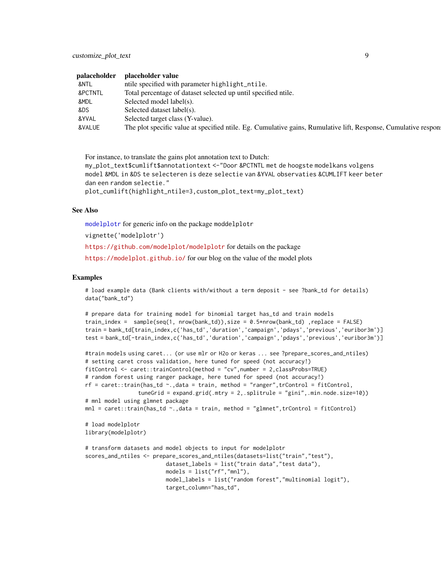<span id="page-8-0"></span>

| palaceholder | placeholder value                                                                                              |
|--------------|----------------------------------------------------------------------------------------------------------------|
| &NTL         | ntile specified with parameter highlight_ntile.                                                                |
| &PCTNTL      | Total percentage of dataset selected up until specified ntile.                                                 |
| &MDL         | Selected model label(s).                                                                                       |
| &DS          | Selected dataset label(s).                                                                                     |
| &YVAL        | Selected target class (Y-value).                                                                               |
| &VALUE       | The plot specific value at specified ntile. Eg. Cumulative gains, Rumulative lift, Response, Cumulative respon |

For instance, to translate the gains plot annotation text to Dutch: my\_plot\_text\$cumlift\$annotationtext <-"Door &PCTNTL met de hoogste modelkans volgens model &MDL in &DS te selecteren is deze selectie van &YVAL observaties &CUMLIFT keer beter dan een random selectie." plot\_cumlift(highlight\_ntile=3,custom\_plot\_text=my\_plot\_text)

# See Also

[modelplotr](#page-9-1) for generic info on the package moddelplotr

vignette('modelplotr')

<https://github.com/modelplot/modelplotr> for details on the package

<https://modelplot.github.io/> for our blog on the value of the model plots

# Examples

# load example data (Bank clients with/without a term deposit - see ?bank\_td for details) data("bank\_td")

```
# prepare data for training model for binomial target has_td and train models
train_index = sample(seq(1, nrow(bank_td)),size = 0.5*nrow(bank_td) ,replace = FALSE)
train = bank_td[train_index,c('has_td','duration','campaign','pdays','previous','euribor3m')]
test = bank_td[-train_index,c('has_td','duration','campaign','pdays','previous','euribor3m')]
```

```
#train models using caret... (or use mlr or H2o or keras ... see ?prepare_scores_and_ntiles)
# setting caret cross validation, here tuned for speed (not accuracy!)
fitControl <- caret::trainControl(method = "cv",number = 2,classProbs=TRUE)
# random forest using ranger package, here tuned for speed (not accuracy!)
rf = \text{caret:} \text{train}(\text{has\_td} \sim .,\text{data = train},\text{ method = "ranger", trControl = fitControl},tuneGrid = expand.grid(.mtry = 2,.splitrule = "gini",.min.node.size=10))
# mnl model using glmnet package
mnl = \text{caret::train(has_td ~.},\text{data = train, method = "glmnet",trControl = fitControl)}# load modelplotr
library(modelplotr)
# transform datasets and model objects to input for modelplotr
scores_and_ntiles <- prepare_scores_and_ntiles(datasets=list("train","test"),
                          dataset_labels = list("train data","test data"),
                          models = list("rf","mnl"),
                          model_labels = list("random forest","multinomial logit"),
                          target_column="has_td",
```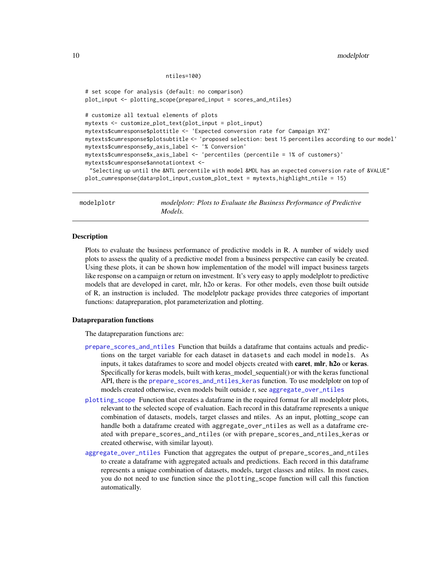```
ntiles=100)
```

```
# set scope for analysis (default: no comparison)
plot_input <- plotting_scope(prepared_input = scores_and_ntiles)
# customize all textual elements of plots
mytexts <- customize_plot_text(plot_input = plot_input)
mytexts$cumresponse$plottitle <- 'Expected conversion rate for Campaign XYZ'
mytexts$cumresponse$plotsubtitle <- 'proposed selection: best 15 percentiles according to our model'
mytexts$cumresponse$y_axis_label <- '% Conversion'
mytexts$cumresponse$x_axis_label <- 'percentiles (percentile = 1% of customers)'
mytexts$cumresponse$annotationtext <-
 "Selecting up until the &NTL percentile with model &MDL has an expected conversion rate of &VALUE"
plot_cumresponse(data=plot_input,custom_plot_text = mytexts,highlight_ntile = 15)
```
<span id="page-9-1"></span>modelplotr *modelplotr: Plots to Evaluate the Business Performance of Predictive Models.*

## Description

Plots to evaluate the business performance of predictive models in R. A number of widely used plots to assess the quality of a predictive model from a business perspective can easily be created. Using these plots, it can be shown how implementation of the model will impact business targets like response on a campaign or return on investment. It's very easy to apply modelplotr to predictive models that are developed in caret, mlr, h2o or keras. For other models, even those built outside of R, an instruction is included. The modelplotr package provides three categories of important functions: datapreparation, plot parameterization and plotting.

#### Datapreparation functions

The datapreparation functions are:

- [prepare\\_scores\\_and\\_ntiles](#page-33-1) Function that builds a dataframe that contains actuals and predictions on the target variable for each dataset in datasets and each model in models. As inputs, it takes dataframes to score and model objects created with caret, mlr, h2o or keras. Specifically for keras models, built with keras\_model\_sequential() or with the keras functional API, there is the [prepare\\_scores\\_and\\_ntiles\\_keras](#page-35-1) function. To use modelplotr on top of models created otherwise, even models built outside r, see [aggregate\\_over\\_ntiles](#page-1-1)
- [plotting\\_scope](#page-12-1) Function that creates a dataframe in the required format for all modelplotr plots, relevant to the selected scope of evaluation. Each record in this dataframe represents a unique combination of datasets, models, target classes and ntiles. As an input, plotting\_scope can handle both a dataframe created with aggregate\_over\_ntiles as well as a dataframe created with prepare\_scores\_and\_ntiles (or with prepare\_scores\_and\_ntiles\_keras or created otherwise, with similar layout).
- [aggregate\\_over\\_ntiles](#page-1-1) Function that aggregates the output of prepare\_scores\_and\_ntiles to create a dataframe with aggregated actuals and predictions. Each record in this dataframe represents a unique combination of datasets, models, target classes and ntiles. In most cases, you do not need to use function since the plotting\_scope function will call this function automatically.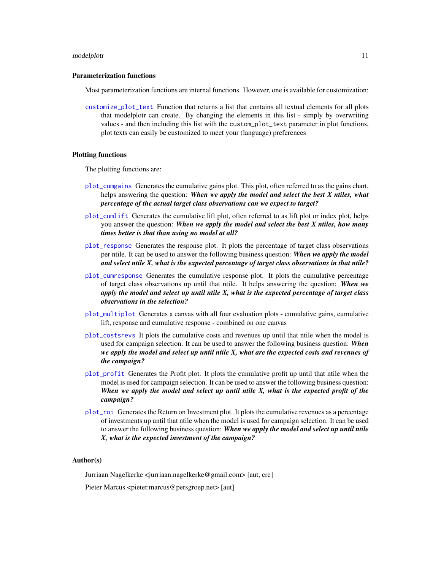#### <span id="page-10-0"></span>modelplotr and the state of the state of the state of the state of the state of the state of the state of the state of the state of the state of the state of the state of the state of the state of the state of the state of

# Parameterization functions

Most parameterization functions are internal functions. However, one is available for customization:

[customize\\_plot\\_text](#page-7-1) Function that returns a list that contains all textual elements for all plots that modelplotr can create. By changing the elements in this list - simply by overwriting values - and then including this list with the custom\_plot\_text parameter in plot functions, plot texts can easily be customized to meet your (language) preferences

# Plotting functions

The plotting functions are:

- [plot\\_cumgains](#page-18-1) Generates the cumulative gains plot. This plot, often referred to as the gains chart, helps answering the question: *When we apply the model and select the best X ntiles, what percentage of the actual target class observations can we expect to target?*
- [plot\\_cumlift](#page-20-1) Generates the cumulative lift plot, often referred to as lift plot or index plot, helps you answer the question: *When we apply the model and select the best X ntiles, how many times better is that than using no model at all?*
- [plot\\_response](#page-28-1) Generates the response plot. It plots the percentage of target class observations per ntile. It can be used to answer the following business question: *When we apply the model and select ntile X, what is the expected percentage of target class observations in that ntile?*
- [plot\\_cumresponse](#page-22-1) Generates the cumulative response plot. It plots the cumulative percentage of target class observations up until that ntile. It helps answering the question: *When we apply the model and select up until ntile X, what is the expected percentage of target class observations in the selection?*
- [plot\\_multiplot](#page-24-1) Generates a canvas with all four evaluation plots cumulative gains, cumulative lift, response and cumulative response - combined on one canvas
- [plot\\_costsrevs](#page-16-1) It plots the cumulative costs and revenues up until that ntile when the model is used for campaign selection. It can be used to answer the following business question: *When we apply the model and select up until ntile X, what are the expected costs and revenues of the campaign?*
- [plot\\_profit](#page-26-1) Generates the Profit plot. It plots the cumulative profit up until that ntile when the model is used for campaign selection. It can be used to answer the following business question: *When we apply the model and select up until ntile X, what is the expected profit of the campaign?*
- [plot\\_roi](#page-30-1) Generates the Return on Investment plot. It plots the cumulative revenues as a percentage of investments up until that ntile when the model is used for campaign selection. It can be used to answer the following business question: *When we apply the model and select up until ntile X, what is the expected investment of the campaign?*

# Author(s)

Jurriaan Nagelkerke <jurriaan.nagelkerke@gmail.com> [aut, cre]

Pieter Marcus <pieter.marcus@persgroep.net> [aut]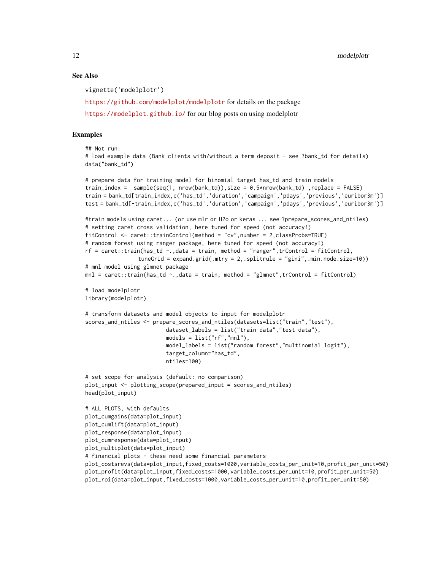12 modelplott modelplott and the contract of the contract of the contract of the contract of the contract of the contract of the contract of the contract of the contract of the contract of the contract of the contract of t

# See Also

vignette('modelplotr')

<https://github.com/modelplot/modelplotr> for details on the package

<https://modelplot.github.io/> for our blog posts on using modelplotr

# Examples

## Not run: # load example data (Bank clients with/without a term deposit - see ?bank\_td for details) data("bank\_td")

```
# prepare data for training model for binomial target has_td and train models
train_index = sample(seq(1, nrow(bank_ttd)), size = 0.5*nrow(bank_ttd),replace = FALSE)
train = bank_td[train_index,c('has_td','duration','campaign','pdays','previous','euribor3m')]
test = bank_td[-train_index,c('has_td','duration','campaign','pdays','previous','euribor3m')]
```

```
#train models using caret... (or use mlr or H2o or keras ... see ?prepare_scores_and_ntiles)
# setting caret cross validation, here tuned for speed (not accuracy!)
fitControl <- caret::trainControl(method = "cv",number = 2,classProbs=TRUE)
# random forest using ranger package, here tuned for speed (not accuracy!)
rf = \text{caret::train(has_t d \textless ~1, data = train, method = "ranger", trControl = fitControl, }
```

```
tuneGrid = expand.grid(.mtry = 2,.splitrule = "gini",.min.node.size=10))
# mnl model using glmnet package
```

```
mnl = \text{caret::train(has_td ~...,data = train, method = "glmnet",trControl = fitControl)}
```

```
# load modelplotr
library(modelplotr)
```

```
# transform datasets and model objects to input for modelplotr
scores_and_ntiles <- prepare_scores_and_ntiles(datasets=list("train","test"),
                        dataset_labels = list("train data","test data"),
                        models = list("rf", "mnl"),model_labels = list("random forest","multinomial logit"),
                         target_column="has_td",
                        ntiles=100)
```

```
# set scope for analysis (default: no comparison)
plot_input <- plotting_scope(prepared_input = scores_and_ntiles)
head(plot_input)
```

```
# ALL PLOTS, with defaults
plot_cumgains(data=plot_input)
plot_cumlift(data=plot_input)
plot_response(data=plot_input)
plot_cumresponse(data=plot_input)
plot_multiplot(data=plot_input)
# financial plots - these need some financial parameters
plot_costsrevs(data=plot_input,fixed_costs=1000,variable_costs_per_unit=10,profit_per_unit=50)
plot_profit(data=plot_input,fixed_costs=1000,variable_costs_per_unit=10,profit_per_unit=50)
plot_roi(data=plot_input,fixed_costs=1000,variable_costs_per_unit=10,profit_per_unit=50)
```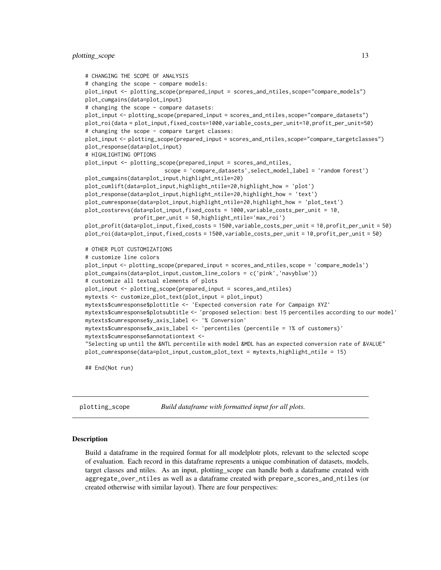# <span id="page-12-0"></span>plotting\_scope 13

```
# CHANGING THE SCOPE OF ANALYSIS
# changing the scope - compare models:
plot_input <- plotting_scope(prepared_input = scores_and_ntiles,scope="compare_models")
plot_cumgains(data=plot_input)
# changing the scope - compare datasets:
plot_input <- plotting_scope(prepared_input = scores_and_ntiles,scope="compare_datasets")
plot_roi(data = plot_input,fixed_costs=1000,variable_costs_per_unit=10,profit_per_unit=50)
# changing the scope - compare target classes:
plot_input <- plotting_scope(prepared_input = scores_and_ntiles,scope="compare_targetclasses")
plot_response(data=plot_input)
# HIGHLIGHTING OPTIONS
plot_input <- plotting_scope(prepared_input = scores_and_ntiles,
                         scope = 'compare_datasets',select_model_label = 'random forest')
plot_cumgains(data=plot_input,highlight_ntile=20)
plot_cumlift(data=plot_input,highlight_ntile=20,highlight_how = 'plot')
plot_response(data=plot_input,highlight_ntile=20,highlight_how = 'text')
plot_cumresponse(data=plot_input,highlight_ntile=20,highlight_how = 'plot_text')
plot_costsrevs(data=plot_input,fixed_costs = 1000,variable_costs_per_unit = 10,
               profit_per_unit = 50,highlight_ntile='max_roi')
plot_profit(data=plot_input,fixed_costs = 1500,variable_costs_per_unit = 10,profit_per_unit = 50)
plot_roi(data=plot_input,fixed_costs = 1500,variable_costs_per_unit = 10,profit_per_unit = 50)
# OTHER PLOT CUSTOMIZATIONS
# customize line colors
plot_input <- plotting_scope(prepared_input = scores_and_ntiles,scope = 'compare_models')
plot_cumgains(data=plot_input,custom_line_colors = c('pink','navyblue'))
# customize all textual elements of plots
plot_input <- plotting_scope(prepared_input = scores_and_ntiles)
mytexts <- customize_plot_text(plot_input = plot_input)
mytexts$cumresponse$plottitle <- 'Expected conversion rate for Campaign XYZ'
mytexts$cumresponse$plotsubtitle <- 'proposed selection: best 15 percentiles according to our model'
mytexts$cumresponse$y_axis_label <- '% Conversion'
mytexts$cumresponse$x_axis_label <- 'percentiles (percentile = 1% of customers)'
mytexts$cumresponse$annotationtext <-
"Selecting up until the &NTL percentile with model &MDL has an expected conversion rate of &VALUE"
plot_cumresponse(data=plot_input,custom_plot_text = mytexts,highlight_ntile = 15)
```
## End(Not run)

<span id="page-12-1"></span>plotting\_scope *Build dataframe with formatted input for all plots.*

#### **Description**

Build a dataframe in the required format for all modelplotr plots, relevant to the selected scope of evaluation. Each record in this dataframe represents a unique combination of datasets, models, target classes and ntiles. As an input, plotting\_scope can handle both a dataframe created with aggregate\_over\_ntiles as well as a dataframe created with prepare\_scores\_and\_ntiles (or created otherwise with similar layout). There are four perspectives: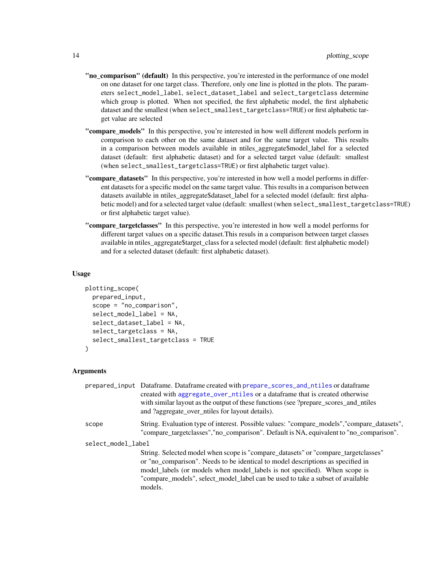- <span id="page-13-0"></span>"no\_comparison" (default) In this perspective, you're interested in the performance of one model on one dataset for one target class. Therefore, only one line is plotted in the plots. The parameters select\_model\_label, select\_dataset\_label and select\_targetclass determine which group is plotted. When not specified, the first alphabetic model, the first alphabetic dataset and the smallest (when select\_smallest\_targetclass=TRUE) or first alphabetic target value are selected
- "compare\_models" In this perspective, you're interested in how well different models perform in comparison to each other on the same dataset and for the same target value. This results in a comparison between models available in ntiles\_aggregate\$model\_label for a selected dataset (default: first alphabetic dataset) and for a selected target value (default: smallest (when select\_smallest\_targetclass=TRUE) or first alphabetic target value).
- "compare\_datasets" In this perspective, you're interested in how well a model performs in different datasets for a specific model on the same target value. This results in a comparison between datasets available in ntiles\_aggregate\$dataset\_label for a selected model (default: first alphabetic model) and for a selected target value (default: smallest (when select\_smallest\_targetclass=TRUE) or first alphabetic target value).
- "compare\_targetclasses" In this perspective, you're interested in how well a model performs for different target values on a specific dataset.This resuls in a comparison between target classes available in ntiles\_aggregate\$target\_class for a selected model (default: first alphabetic model) and for a selected dataset (default: first alphabetic dataset).

```
plotting_scope(
  prepared_input,
  scope = "no_comparison",
  select_model_label = NA,
  select_dataset_label = NA,
  select_targetclass = NA,
  select_smallest_targetclass = TRUE
\mathcal{E}
```
# Arguments

|                    | prepared_input Dataframe. Dataframe created with prepare_scores_and_ntiles or dataframe<br>created with aggregate_over_ntiles or a dataframe that is created otherwise<br>with similar layout as the output of these functions (see ?prepare_scores_and_ntiles<br>and ?aggregate_over_ntiles for layout details).                                |
|--------------------|--------------------------------------------------------------------------------------------------------------------------------------------------------------------------------------------------------------------------------------------------------------------------------------------------------------------------------------------------|
| scope              | String. Evaluation type of interest. Possible values: "compare_models","compare_datasets",<br>"compare_targetclasses","no_comparison". Default is NA, equivalent to "no_comparison".                                                                                                                                                             |
| select_model_label |                                                                                                                                                                                                                                                                                                                                                  |
|                    | String. Selected model when scope is "compare_datasets" or "compare_targetclasses"<br>or "no_comparison". Needs to be identical to model descriptions as specified in<br>model_labels (or models when model_labels is not specified). When scope is<br>"compare_models", select_model_label can be used to take a subset of available<br>models. |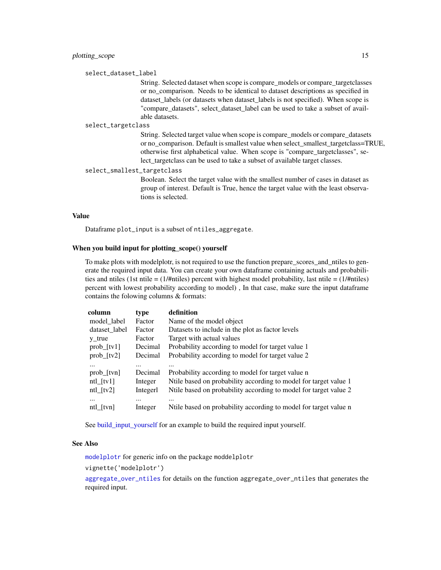<span id="page-14-0"></span>select\_dataset\_label

String. Selected dataset when scope is compare\_models or compare\_targetclasses or no\_comparison. Needs to be identical to dataset descriptions as specified in dataset labels (or datasets when dataset labels is not specified). When scope is "compare datasets", select dataset label can be used to take a subset of available datasets.

#### select\_targetclass

String. Selected target value when scope is compare\_models or compare\_datasets or no\_comparison. Default is smallest value when select\_smallest\_targetclass=TRUE, otherwise first alphabetical value. When scope is "compare\_targetclasses", select\_targetclass can be used to take a subset of available target classes.

select\_smallest\_targetclass

Boolean. Select the target value with the smallest number of cases in dataset as group of interest. Default is True, hence the target value with the least observations is selected.

#### Value

Dataframe plot\_input is a subset of ntiles\_aggregate.

# When you build input for plotting\_scope() yourself

To make plots with modelplotr, is not required to use the function prepare\_scores\_and\_ntiles to generate the required input data. You can create your own dataframe containing actuals and probabilities and ntiles (1st ntile =  $(1/\text{f}})$  percent with highest model probability, last ntile =  $(1/\text{f}})$ percent with lowest probability according to model) , In that case, make sure the input dataframe contains the folowing columns & formats:

| column             | type     | definition                                                       |
|--------------------|----------|------------------------------------------------------------------|
| model_label        | Factor   | Name of the model object                                         |
| dataset_label      | Factor   | Datasets to include in the plot as factor levels                 |
| $y_{true}$         | Factor   | Target with actual values                                        |
| $prob_{r}[tv1]$    | Decimal  | Probability according to model for target value 1                |
| $prob_{1}[tv2]$    | Decimal  | Probability according to model for target value 2                |
| $\cdots$           | $\cdots$ |                                                                  |
| $prob_{r}[tvn]$    | Decimal  | Probability according to model for target value n                |
| $ntl_{\text{t}}v1$ | Integer  | Nulle based on probability according to model for target value 1 |
| $ntl_{\text{t}}v2$ | Integerl | Nulle based on probability according to model for target value 2 |
| $\cdots$           |          |                                                                  |
| ntl[tvn]           | Integer  | Ntile based on probability according to model for target value n |

See build input yourself for an example to build the required input yourself.

# See Also

[modelplotr](#page-9-1) for generic info on the package moddelplotr

vignette('modelplotr')

[aggregate\\_over\\_ntiles](#page-1-1) for details on the function aggregate\_over\_ntiles that generates the required input.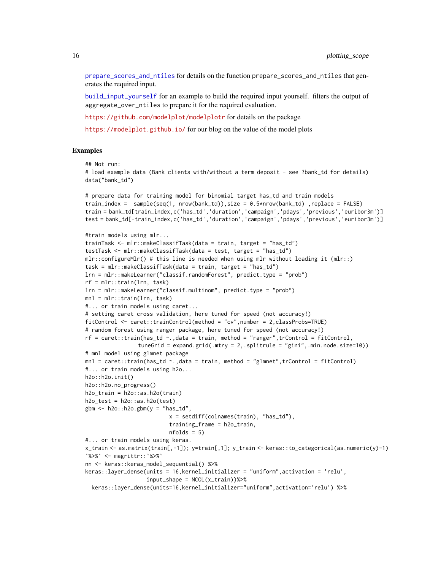<span id="page-15-0"></span>[prepare\\_scores\\_and\\_ntiles](#page-33-1) for details on the function prepare\_scores\_and\_ntiles that generates the required input.

[build\\_input\\_yourself](#page-5-1) for an example to build the required input yourself. filters the output of aggregate\_over\_ntiles to prepare it for the required evaluation.

<https://github.com/modelplot/modelplotr> for details on the package

<https://modelplot.github.io/> for our blog on the value of the model plots

#### Examples

```
## Not run:
```

```
# load example data (Bank clients with/without a term deposit - see ?bank_td for details)
data("bank_td")
```

```
# prepare data for training model for binomial target has_td and train models
train_index = sample(seq(1, nrow(bank_td)),size = 0.5*nrow(bank_td) ,replace = FALSE)
train = bank_td[train_index,c('has_td','duration','campaign','pdays','previous','euribor3m')]
test = bank_td[-train_index,c('has_td','duration','campaign','pdays','previous','euribor3m')]
```

```
#train models using mlr...
trainTask <- mlr::makeClassifTask(data = train, target = "has_td")
testTask <- mlr::makeClassifTask(data = test, target = "has_td")
mlr:configureMlr() # this line is needed when using mlr without loading it (mlr::)
task = mlr::makeClassifTask(data = train, target = "has_td")
lrn = mlr::makeLearner("classif.randomForest", predict.type = "prob")
rf = mlr::train(lrn, task)
lrn = mlr::makeLearner("classif.multinom", predict.type = "prob")
mnl = mlr::train(lrn, task)
#... or train models using caret...
# setting caret cross validation, here tuned for speed (not accuracy!)
fitControl <- caret::trainControl(method = "cv",number = 2,classProbs=TRUE)
# random forest using ranger package, here tuned for speed (not accuracy!)
rf = \text{caret::train(has_t d \sim .}, \text{data = train, method = "ranger", trControl = fitControl, }tuneGrid = expand.grid(.mtry = 2,.splitrule = "gini",.min.node.size=10))
# mnl model using glmnet package
mnl = \text{caret}: \text{train(has\_td ~.data = train, method = "glmnet", trControl = fitControl)}#... or train models using h2o...
h2o::h2o.init()
h2o::h2o.no_progress()
h2o_{\text{train}} = h2o::as.h2o(\text{train})h2o_test = h2o::as.h2o(test)gbm \leq -h2o::h2o.gbm(y ="has_td",
                           x = setdiff(colnames(train), "has_td"),
                           training_frame = h2o_train,
                           nfolds = 5#... or train models using keras.
x_train <- as.matrix(train[,-1]); y=train[,1]; y_train <- keras::to_categorical(as.numeric(y)-1)
`%>%` <- magrittr::`%>%`
nn <- keras::keras_model_sequential() %>%
keras::layer_dense(units = 16,kernel_initializer = "uniform",activation = 'relu',
                   input\_shape = NCOL(x_train))%>%
  keras::layer_dense(units=16,kernel_initializer="uniform",activation='relu') %>%
```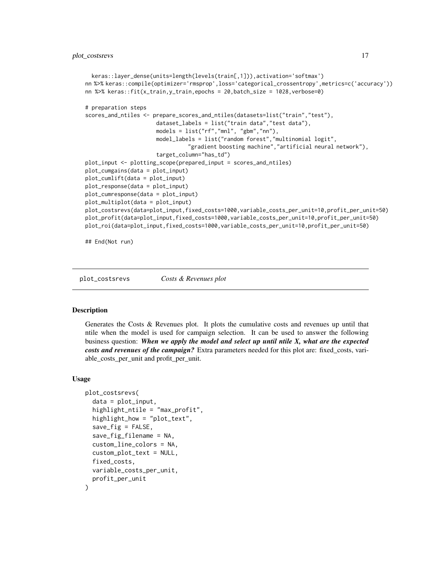```
keras::layer_dense(units=length(levels(train[,1])),activation='softmax')
nn %>% keras::compile(optimizer='rmsprop',loss='categorical_crossentropy',metrics=c('accuracy'))
nn %>% keras::fit(x_train,y_train,epochs = 20,batch_size = 1028,verbose=0)
# preparation steps
scores_and_ntiles <- prepare_scores_and_ntiles(datasets=list("train","test"),
                      dataset_labels = list("train data","test data"),
                      models = list("rf","mnl", "gbm","nn"),
                      model_labels = list("random forest","multinomial logit",
                                "gradient boosting machine","artificial neural network"),
                      target_column="has_td")
plot_input <- plotting_scope(prepared_input = scores_and_ntiles)
plot_cumgains(data = plot_input)
plot_cumlift(data = plot_input)
plot_response(data = plot_input)
plot_cumresponse(data = plot_input)
plot_multiplot(data = plot_input)
plot_costsrevs(data=plot_input,fixed_costs=1000,variable_costs_per_unit=10,profit_per_unit=50)
plot_profit(data=plot_input,fixed_costs=1000,variable_costs_per_unit=10,profit_per_unit=50)
plot_roi(data=plot_input,fixed_costs=1000,variable_costs_per_unit=10,profit_per_unit=50)
```
## End(Not run)

<span id="page-16-1"></span>plot\_costsrevs *Costs & Revenues plot*

#### Description

Generates the Costs & Revenues plot. It plots the cumulative costs and revenues up until that ntile when the model is used for campaign selection. It can be used to answer the following business question: *When we apply the model and select up until ntile X, what are the expected costs and revenues of the campaign?* Extra parameters needed for this plot are: fixed\_costs, variable\_costs\_per\_unit and profit\_per\_unit.

## Usage

```
plot_costsrevs(
  data = plot_input,
  highlight_ntile = "max_profit",
  highlight_how = "plot_text",
  save\_fig = FALSE,save_fig_filename = NA,
  custom_line_colors = NA,
  custom_plot_text = NULL,
  fixed_costs,
  variable_costs_per_unit,
  profit_per_unit
)
```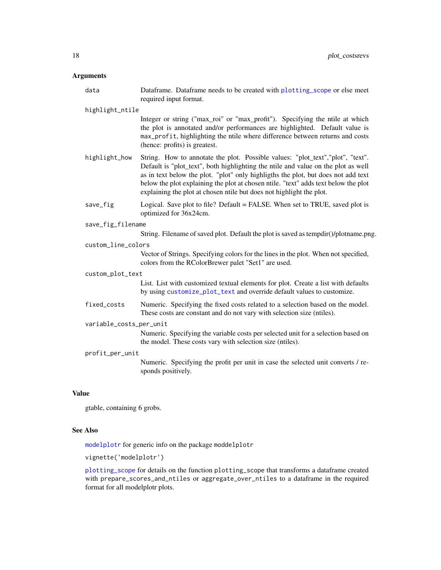# <span id="page-17-0"></span>Arguments

|              | data                        | Dataframe. Dataframe needs to be created with plotting_scope or else meet<br>required input format.                                                                                                                                                                                                                                                                                                                     |  |
|--------------|-----------------------------|-------------------------------------------------------------------------------------------------------------------------------------------------------------------------------------------------------------------------------------------------------------------------------------------------------------------------------------------------------------------------------------------------------------------------|--|
|              | highlight_ntile             |                                                                                                                                                                                                                                                                                                                                                                                                                         |  |
|              |                             | Integer or string ("max_roi" or "max_profit"). Specifying the ntile at which<br>the plot is annotated and/or performances are highlighted. Default value is<br>max_profit, highlighting the ntile where difference between returns and costs<br>(hence: profits) is greatest.                                                                                                                                           |  |
|              | highlight_how               | String. How to annotate the plot. Possible values: "plot_text","plot", "text".<br>Default is "plot_text", both highlighting the ntile and value on the plot as well<br>as in text below the plot. "plot" only highligths the plot, but does not add text<br>below the plot explaining the plot at chosen ntile. "text" adds text below the plot<br>explaining the plot at chosen ntile but does not highlight the plot. |  |
|              | save_fig                    | Logical. Save plot to file? Default = FALSE. When set to TRUE, saved plot is<br>optimized for 36x24cm.                                                                                                                                                                                                                                                                                                                  |  |
|              | save_fig_filename           |                                                                                                                                                                                                                                                                                                                                                                                                                         |  |
|              |                             | String. Filename of saved plot. Default the plot is saved as tempdir()/plotname.png.                                                                                                                                                                                                                                                                                                                                    |  |
|              | custom_line_colors          |                                                                                                                                                                                                                                                                                                                                                                                                                         |  |
|              |                             | Vector of Strings. Specifying colors for the lines in the plot. When not specified,<br>colors from the RColorBrewer palet "Set1" are used.                                                                                                                                                                                                                                                                              |  |
|              | custom_plot_text            |                                                                                                                                                                                                                                                                                                                                                                                                                         |  |
|              |                             | List. List with customized textual elements for plot. Create a list with defaults<br>by using customize_plot_text and override default values to customize.                                                                                                                                                                                                                                                             |  |
|              | fixed_costs                 | Numeric. Specifying the fixed costs related to a selection based on the model.<br>These costs are constant and do not vary with selection size (ntiles).                                                                                                                                                                                                                                                                |  |
|              | variable_costs_per_unit     |                                                                                                                                                                                                                                                                                                                                                                                                                         |  |
|              |                             | Numeric. Specifying the variable costs per selected unit for a selection based on<br>the model. These costs vary with selection size (ntiles).                                                                                                                                                                                                                                                                          |  |
|              | profit_per_unit             |                                                                                                                                                                                                                                                                                                                                                                                                                         |  |
|              |                             | Numeric. Specifying the profit per unit in case the selected unit converts / re-<br>sponds positively.                                                                                                                                                                                                                                                                                                                  |  |
| <b>Value</b> |                             |                                                                                                                                                                                                                                                                                                                                                                                                                         |  |
|              | gtable, containing 6 grobs. |                                                                                                                                                                                                                                                                                                                                                                                                                         |  |
|              |                             |                                                                                                                                                                                                                                                                                                                                                                                                                         |  |

# See Also

[modelplotr](#page-9-1) for generic info on the package moddelplotr

vignette('modelplotr')

[plotting\\_scope](#page-12-1) for details on the function plotting\_scope that transforms a dataframe created with prepare\_scores\_and\_ntiles or aggregate\_over\_ntiles to a dataframe in the required format for all modelplotr plots.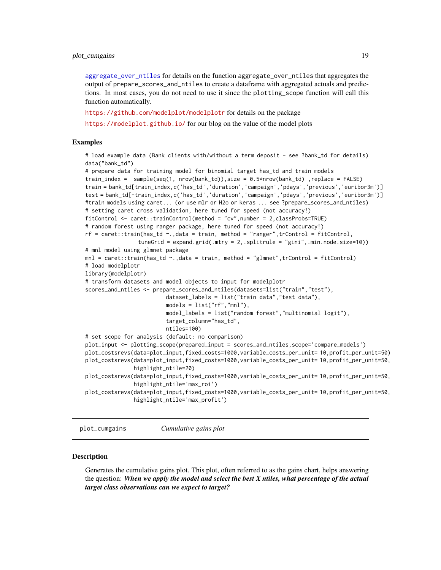# <span id="page-18-0"></span>plot\_cumgains 19

[aggregate\\_over\\_ntiles](#page-1-1) for details on the function aggregate\_over\_ntiles that aggregates the output of prepare\_scores\_and\_ntiles to create a dataframe with aggregated actuals and predictions. In most cases, you do not need to use it since the plotting\_scope function will call this function automatically.

<https://github.com/modelplot/modelplotr> for details on the package

<https://modelplot.github.io/> for our blog on the value of the model plots

# Examples

# load example data (Bank clients with/without a term deposit - see ?bank\_td for details) data("bank\_td")

```
# prepare data for training model for binomial target has_td and train models
train_index = sample(seq(1, nrow(bank_td)),size = 0.5*nrow(bank_td) ,replace = FALSE)
train = bank_td[train_index,c('has_td','duration','campaign','pdays','previous','euribor3m')]
test = bank_td[-train_index,c('has_td','duration','campaign','pdays','previous','euribor3m')]
#train models using caret... (or use mlr or H2o or keras ... see ?prepare_scores_and_ntiles)
# setting caret cross validation, here tuned for speed (not accuracy!)
fitControl <- caret::trainControl(method = "cv",number = 2,classProbs=TRUE)
# random forest using ranger package, here tuned for speed (not accuracy!)
rf = \text{caret::train(has\_td ~ ~ .},\text{data = train, method = "ranger", trControl = fitControl, }tuneGrid = expand.grid(.mtry = 2,.splitrule = "gini",.min.node.size=10))
# mnl model using glmnet package
mnl = \text{caret::train(has_td ~...,data = train, method = "glmnet",trControl = fitControl)}# load modelplotr
library(modelplotr)
# transform datasets and model objects to input for modelplotr
scores_and_ntiles <- prepare_scores_and_ntiles(datasets=list("train","test"),
                         dataset_labels = list("train data","test data"),
                         models = list("rf","mnl"),
                         model_labels = list("random forest","multinomial logit"),
                         target_column="has_td",
                         ntiles=100)
# set scope for analysis (default: no comparison)
plot_input <- plotting_scope(prepared_input = scores_and_ntiles,scope='compare_models')
plot_costsrevs(data=plot_input,fixed_costs=1000,variable_costs_per_unit= 10,profit_per_unit=50)
plot_costsrevs(data=plot_input,fixed_costs=1000,variable_costs_per_unit= 10,profit_per_unit=50,
               highlight_ntile=20)
plot_costsrevs(data=plot_input,fixed_costs=1000,variable_costs_per_unit= 10,profit_per_unit=50,
               highlight_ntile='max_roi')
plot_costsrevs(data=plot_input,fixed_costs=1000,variable_costs_per_unit= 10,profit_per_unit=50,
               highlight_ntile='max_profit')
```
<span id="page-18-1"></span>plot\_cumgains *Cumulative gains plot*

#### Description

Generates the cumulative gains plot. This plot, often referred to as the gains chart, helps answering the question: *When we apply the model and select the best X ntiles, what percentage of the actual target class observations can we expect to target?*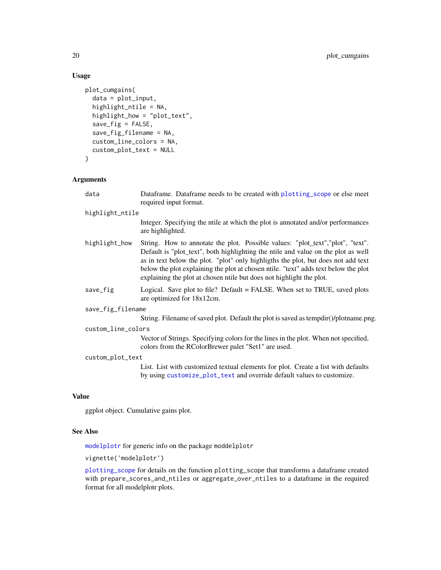```
plot_cumgains(
  data = plot_input,
  highlight_ntile = NA,
 highlight_how = "plot_text",
  save_fig = FALSE,
  save_fig_filename = NA,
  custom_line_colors = NA,
  custom_plot_text = NULL
\mathcal{L}
```
# Arguments

| data               | Dataframe. Dataframe needs to be created with plotting_scope or else meet<br>required input format.                                                                                                                                                                                                                                                                                                                      |  |  |
|--------------------|--------------------------------------------------------------------------------------------------------------------------------------------------------------------------------------------------------------------------------------------------------------------------------------------------------------------------------------------------------------------------------------------------------------------------|--|--|
| highlight_ntile    |                                                                                                                                                                                                                                                                                                                                                                                                                          |  |  |
|                    | Integer. Specifying the ntile at which the plot is annotated and/or performances<br>are highlighted.                                                                                                                                                                                                                                                                                                                     |  |  |
| highlight_how      | String. How to annotate the plot. Possible values: "plot_text", "plot", "text".<br>Default is "plot_text", both highlighting the ntile and value on the plot as well<br>as in text below the plot. "plot" only highligths the plot, but does not add text<br>below the plot explaining the plot at chosen ntile. "text" adds text below the plot<br>explaining the plot at chosen ntile but does not highlight the plot. |  |  |
| save_fig           | Logical. Save plot to file? Default = FALSE. When set to TRUE, saved plots<br>are optimized for 18x12cm.                                                                                                                                                                                                                                                                                                                 |  |  |
| save_fig_filename  |                                                                                                                                                                                                                                                                                                                                                                                                                          |  |  |
|                    | String. Filename of saved plot. Default the plot is saved as tempdir()/plotname.png.                                                                                                                                                                                                                                                                                                                                     |  |  |
| custom_line_colors |                                                                                                                                                                                                                                                                                                                                                                                                                          |  |  |
|                    | Vector of Strings. Specifying colors for the lines in the plot. When not specified,<br>colors from the RColorBrewer palet "Set1" are used.                                                                                                                                                                                                                                                                               |  |  |
| custom_plot_text   |                                                                                                                                                                                                                                                                                                                                                                                                                          |  |  |
|                    | List. List with customized textual elements for plot. Create a list with defaults<br>by using customize_plot_text and override default values to customize.                                                                                                                                                                                                                                                              |  |  |
|                    |                                                                                                                                                                                                                                                                                                                                                                                                                          |  |  |

# Value

ggplot object. Cumulative gains plot.

# See Also

[modelplotr](#page-9-1) for generic info on the package moddelplotr

vignette('modelplotr')

[plotting\\_scope](#page-12-1) for details on the function plotting\_scope that transforms a dataframe created with prepare\_scores\_and\_ntiles or aggregate\_over\_ntiles to a dataframe in the required format for all modelplotr plots.

<span id="page-19-0"></span>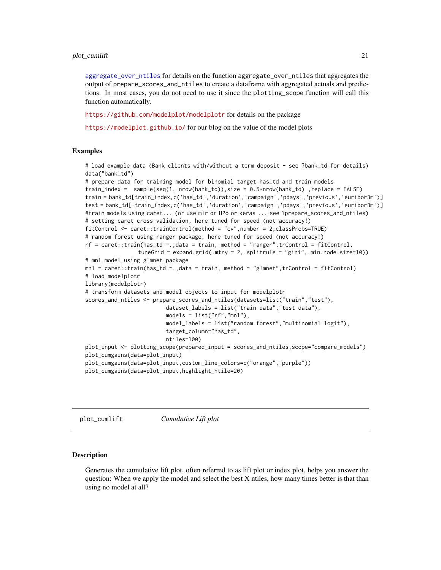### <span id="page-20-0"></span>plot\_cumlift 21

[aggregate\\_over\\_ntiles](#page-1-1) for details on the function aggregate\_over\_ntiles that aggregates the output of prepare\_scores\_and\_ntiles to create a dataframe with aggregated actuals and predictions. In most cases, you do not need to use it since the plotting\_scope function will call this function automatically.

<https://github.com/modelplot/modelplotr> for details on the package

<https://modelplot.github.io/> for our blog on the value of the model plots

# Examples

```
# load example data (Bank clients with/without a term deposit - see ?bank_td for details)
data("bank_td")
# prepare data for training model for binomial target has_td and train models
train_index = sample(seq(1, nrow(bank_td)),size = 0.5*nrow(bank_td) ,replace = FALSE)
train = bank_td[train_index,c('has_td','duration','campaign','pdays','previous','euribor3m')]
test = bank_td[-train_index,c('has_td','duration','campaign','pdays','previous','euribor3m')]
#train models using caret... (or use mlr or H2o or keras ... see ?prepare_scores_and_ntiles)
# setting caret cross validation, here tuned for speed (not accuracy!)
fitControl <- caret::trainControl(method = "cv",number = 2,classProbs=TRUE)
# random forest using ranger package, here tuned for speed (not accuracy!)
\mathsf{rf} = \mathsf{caret}:\mathsf{train}(\mathsf{has\_td} \sim \mathsf{,data = train}, \mathsf{method = "ranger", trControl = fitControl, }tuneGrid = expand.grid(.mtry = 2,.splitrule = "gini",.min.node.size=10))
# mnl model using glmnet package
mnl = caret::train(has_t d \sim ., data = train, method = "glmnet", trControl = fitControl)# load modelplotr
library(modelplotr)
# transform datasets and model objects to input for modelplotr
scores_and_ntiles <- prepare_scores_and_ntiles(datasets=list("train","test"),
                          dataset_labels = list("train data","test data"),
                          models = list("rf","mnl"),
                          model_labels = list("random forest","multinomial logit"),
                          target_column="has_td",
                          ntiles=100)
plot_input <- plotting_scope(prepared_input = scores_and_ntiles,scope="compare_models")
plot_cumgains(data=plot_input)
plot_cumgains(data=plot_input,custom_line_colors=c("orange","purple"))
plot_cumgains(data=plot_input,highlight_ntile=20)
```
<span id="page-20-1"></span>plot\_cumlift *Cumulative Lift plot*

#### Description

Generates the cumulative lift plot, often referred to as lift plot or index plot, helps you answer the question: When we apply the model and select the best X ntiles, how many times better is that than using no model at all?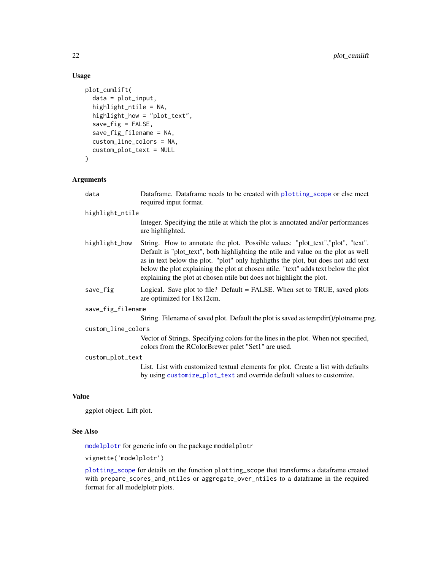```
plot_cumlift(
  data = plot_input,
  highlight_ntile = NA,
 highlight_how = "plot_text",
  save_fig = FALSE,
  save_fig_filename = NA,
  custom_line_colors = NA,
  custom_plot_text = NULL
\mathcal{L}
```
# Arguments

| data               | Dataframe. Dataframe needs to be created with plotting_scope or else meet<br>required input format.                                                                                                                                                                                                                                                                                                                      |  |  |
|--------------------|--------------------------------------------------------------------------------------------------------------------------------------------------------------------------------------------------------------------------------------------------------------------------------------------------------------------------------------------------------------------------------------------------------------------------|--|--|
| highlight_ntile    |                                                                                                                                                                                                                                                                                                                                                                                                                          |  |  |
|                    | Integer. Specifying the ntile at which the plot is annotated and/or performances<br>are highlighted.                                                                                                                                                                                                                                                                                                                     |  |  |
| highlight_how      | String. How to annotate the plot. Possible values: "plot_text", "plot", "text".<br>Default is "plot_text", both highlighting the ntile and value on the plot as well<br>as in text below the plot. "plot" only highligths the plot, but does not add text<br>below the plot explaining the plot at chosen ntile. "text" adds text below the plot<br>explaining the plot at chosen ntile but does not highlight the plot. |  |  |
| save_fig           | Logical. Save plot to file? Default = FALSE. When set to TRUE, saved plots<br>are optimized for 18x12cm.                                                                                                                                                                                                                                                                                                                 |  |  |
| save_fig_filename  |                                                                                                                                                                                                                                                                                                                                                                                                                          |  |  |
|                    | String. Filename of saved plot. Default the plot is saved as tempdir()/plotname.png.                                                                                                                                                                                                                                                                                                                                     |  |  |
| custom_line_colors |                                                                                                                                                                                                                                                                                                                                                                                                                          |  |  |
|                    | Vector of Strings. Specifying colors for the lines in the plot. When not specified,<br>colors from the RColorBrewer palet "Set1" are used.                                                                                                                                                                                                                                                                               |  |  |
| custom_plot_text   |                                                                                                                                                                                                                                                                                                                                                                                                                          |  |  |
|                    | List. List with customized textual elements for plot. Create a list with defaults<br>by using customize_plot_text and override default values to customize.                                                                                                                                                                                                                                                              |  |  |
|                    |                                                                                                                                                                                                                                                                                                                                                                                                                          |  |  |

# Value

ggplot object. Lift plot.

# See Also

[modelplotr](#page-9-1) for generic info on the package moddelplotr

vignette('modelplotr')

[plotting\\_scope](#page-12-1) for details on the function plotting\_scope that transforms a dataframe created with prepare\_scores\_and\_ntiles or aggregate\_over\_ntiles to a dataframe in the required format for all modelplotr plots.

<span id="page-21-0"></span>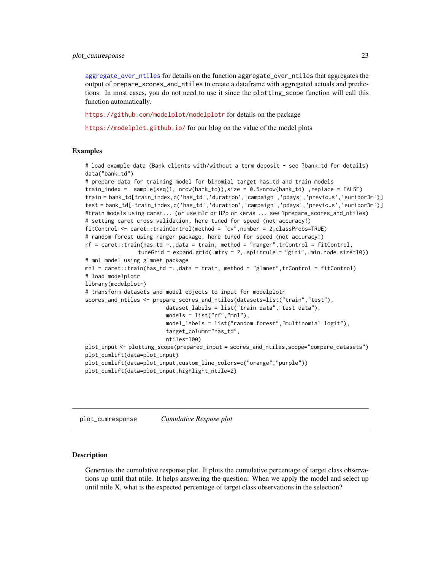<span id="page-22-0"></span>[aggregate\\_over\\_ntiles](#page-1-1) for details on the function aggregate\_over\_ntiles that aggregates the output of prepare\_scores\_and\_ntiles to create a dataframe with aggregated actuals and predictions. In most cases, you do not need to use it since the plotting\_scope function will call this function automatically.

<https://github.com/modelplot/modelplotr> for details on the package

<https://modelplot.github.io/> for our blog on the value of the model plots

# Examples

```
# load example data (Bank clients with/without a term deposit - see ?bank_td for details)
data("bank_td")
# prepare data for training model for binomial target has_td and train models
train_index = sample(seq(1, nrow(bank_td)),size = 0.5*nrow(bank_td) ,replace = FALSE)
train = bank_td[train_index,c('has_td','duration','campaign','pdays','previous','euribor3m')]
test = bank_td[-train_index,c('has_td','duration','campaign','pdays','previous','euribor3m')]
#train models using caret... (or use mlr or H2o or keras ... see ?prepare_scores_and_ntiles)
# setting caret cross validation, here tuned for speed (not accuracy!)
fitControl <- caret::trainControl(method = "cv",number = 2,classProbs=TRUE)
# random forest using ranger package, here tuned for speed (not accuracy!)
\mathsf{rf} = \mathsf{caret}:\mathsf{train}(\mathsf{has\_td} \sim \mathsf{,data} = \mathsf{train}, \mathsf{method} = \text{"rangent", trControl = fitControl},tuneGrid = expand.grid(.mtry = 2,.splitrule = "gini",.min.node.size=10))
# mnl model using glmnet package
mnl = caret::train(has_t d \sim ., data = train, method = "glmnet", trControl = fitControl)# load modelplotr
library(modelplotr)
# transform datasets and model objects to input for modelplotr
scores_and_ntiles <- prepare_scores_and_ntiles(datasets=list("train","test"),
                          dataset_labels = list("train data","test data"),
                          models = list("rf","mnl"),
                          model_labels = list("random forest","multinomial logit"),
                          target_column="has_td",
                          ntiles=100)
plot_input <- plotting_scope(prepared_input = scores_and_ntiles,scope="compare_datasets")
plot_cumlift(data=plot_input)
plot_cumlift(data=plot_input,custom_line_colors=c("orange","purple"))
plot_cumlift(data=plot_input,highlight_ntile=2)
```
<span id="page-22-1"></span>plot\_cumresponse *Cumulative Respose plot*

# Description

Generates the cumulative response plot. It plots the cumulative percentage of target class observations up until that ntile. It helps answering the question: When we apply the model and select up until ntile X, what is the expected percentage of target class observations in the selection?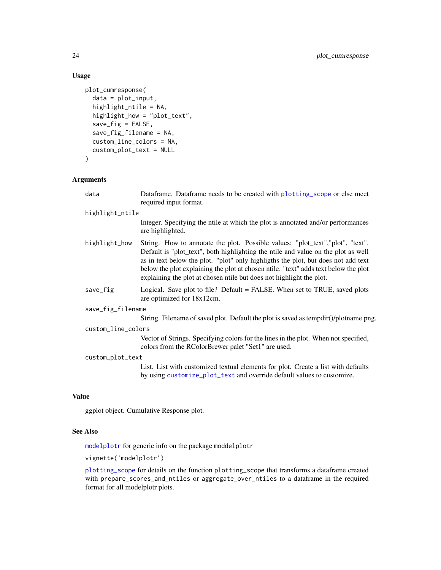```
plot_cumresponse(
  data = plot_input,
  highlight_ntile = NA,
 highlight_how = "plot_text",
  save_fig = FALSE,
  save_fig_filename = NA,
  custom_line_colors = NA,
  custom_plot_text = NULL
\mathcal{L}
```
# Arguments

| data               | Dataframe. Dataframe needs to be created with plotting_scope or else meet<br>required input format.                                                                                                                                                                                                                                                                                                                      |  |  |
|--------------------|--------------------------------------------------------------------------------------------------------------------------------------------------------------------------------------------------------------------------------------------------------------------------------------------------------------------------------------------------------------------------------------------------------------------------|--|--|
| highlight_ntile    |                                                                                                                                                                                                                                                                                                                                                                                                                          |  |  |
|                    | Integer. Specifying the ntile at which the plot is annotated and/or performances<br>are highlighted.                                                                                                                                                                                                                                                                                                                     |  |  |
| highlight_how      | String. How to annotate the plot. Possible values: "plot_text", "plot", "text".<br>Default is "plot_text", both highlighting the ntile and value on the plot as well<br>as in text below the plot. "plot" only highligths the plot, but does not add text<br>below the plot explaining the plot at chosen ntile. "text" adds text below the plot<br>explaining the plot at chosen ntile but does not highlight the plot. |  |  |
| save_fig           | Logical. Save plot to file? Default = FALSE. When set to TRUE, saved plots<br>are optimized for 18x12cm.                                                                                                                                                                                                                                                                                                                 |  |  |
| save_fig_filename  |                                                                                                                                                                                                                                                                                                                                                                                                                          |  |  |
|                    | String. Filename of saved plot. Default the plot is saved as tempdir()/plotname.png.                                                                                                                                                                                                                                                                                                                                     |  |  |
| custom_line_colors |                                                                                                                                                                                                                                                                                                                                                                                                                          |  |  |
|                    | Vector of Strings. Specifying colors for the lines in the plot. When not specified,<br>colors from the RColorBrewer palet "Set1" are used.                                                                                                                                                                                                                                                                               |  |  |
| custom_plot_text   |                                                                                                                                                                                                                                                                                                                                                                                                                          |  |  |
|                    | List. List with customized textual elements for plot. Create a list with defaults<br>by using customize_plot_text and override default values to customize.                                                                                                                                                                                                                                                              |  |  |
|                    |                                                                                                                                                                                                                                                                                                                                                                                                                          |  |  |

# Value

ggplot object. Cumulative Response plot.

# See Also

[modelplotr](#page-9-1) for generic info on the package moddelplotr

vignette('modelplotr')

[plotting\\_scope](#page-12-1) for details on the function plotting\_scope that transforms a dataframe created with prepare\_scores\_and\_ntiles or aggregate\_over\_ntiles to a dataframe in the required format for all modelplotr plots.

<span id="page-23-0"></span>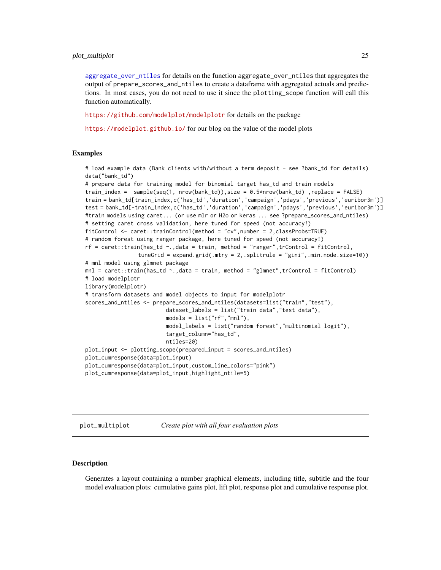#### <span id="page-24-0"></span>plot\_multiplot 25

[aggregate\\_over\\_ntiles](#page-1-1) for details on the function aggregate\_over\_ntiles that aggregates the output of prepare\_scores\_and\_ntiles to create a dataframe with aggregated actuals and predictions. In most cases, you do not need to use it since the plotting\_scope function will call this function automatically.

<https://github.com/modelplot/modelplotr> for details on the package

<https://modelplot.github.io/> for our blog on the value of the model plots

#### Examples

```
# load example data (Bank clients with/without a term deposit - see ?bank_td for details)
data("bank_td")
# prepare data for training model for binomial target has_td and train models
train_index = sample(seq(1, nrow(bank_td)),size = 0.5*nrow(bank_td),replace = FALSE)
train = bank_td[train_index,c('has_td','duration','campaign','pdays','previous','euribor3m')]
test = bank_td[-train_index,c('has_td','duration','campaign','pdays','previous','euribor3m')]
#train models using caret... (or use mlr or H2o or keras ... see ?prepare_scores_and_ntiles)
# setting caret cross validation, here tuned for speed (not accuracy!)
fitControl <- caret::trainControl(method = "cv",number = 2,classProbs=TRUE)
# random forest using ranger package, here tuned for speed (not accuracy!)
rf = \text{caret::train(has_t d \textless ~1, data = train, method = "ranger", trControl = fitControl, }tuneGrid = expand.grid(.mtry = 2,.splitrule = "gini",.min.node.size=10))
# mnl model using glmnet package
mnl = caret::train(has_t d \sim ., data = train, method = "glmnet", trControl = fitControl)# load modelplotr
library(modelplotr)
# transform datasets and model objects to input for modelplotr
scores_and_ntiles <- prepare_scores_and_ntiles(datasets=list("train","test"),
                         dataset_labels = list("train data","test data"),
                         models = list("rf","mnl"),
                         model_labels = list("random forest","multinomial logit"),
                         target_column="has_td",
                         ntiles=20)
plot_input <- plotting_scope(prepared_input = scores_and_ntiles)
plot_cumresponse(data=plot_input)
plot_cumresponse(data=plot_input,custom_line_colors="pink")
plot_cumresponse(data=plot_input,highlight_ntile=5)
```
<span id="page-24-1"></span>plot\_multiplot *Create plot with all four evaluation plots*

#### Description

Generates a layout containing a number graphical elements, including title, subtitle and the four model evaluation plots: cumulative gains plot, lift plot, response plot and cumulative response plot.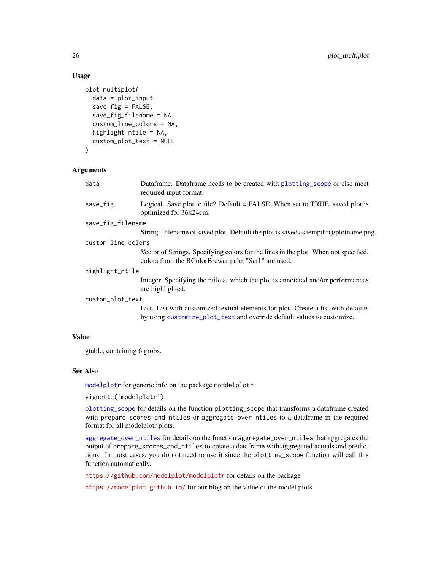```
plot_multiplot(
  data = plot_input,
  save\_fig = FALSE,save_fig_filename = NA,
  custom_line_colors = NA,
  highlight_ntile = NA,
  custom_plot_text = NULL
)
```
# Arguments

| Logical. Save plot to file? Default = FALSE. When set to TRUE, saved plot is<br>save_fig<br>optimized for 36x24cm.<br>save_fig_filename<br>custom_line_colors<br>Vector of Strings. Specifying colors for the lines in the plot. When not specified,<br>colors from the RColorBrewer palet "Set1" are used.<br>highlight_ntile<br>Integer. Specifying the ntile at which the plot is annotated and/or performances<br>are highlighted.<br>custom_plot_text<br>List. List with customized textual elements for plot. Create a list with defaults<br>by using customize_plot_text and override default values to customize. | data | Dataframe. Dataframe needs to be created with plotting_scope or else meet<br>required input format. |
|---------------------------------------------------------------------------------------------------------------------------------------------------------------------------------------------------------------------------------------------------------------------------------------------------------------------------------------------------------------------------------------------------------------------------------------------------------------------------------------------------------------------------------------------------------------------------------------------------------------------------|------|-----------------------------------------------------------------------------------------------------|
|                                                                                                                                                                                                                                                                                                                                                                                                                                                                                                                                                                                                                           |      |                                                                                                     |
|                                                                                                                                                                                                                                                                                                                                                                                                                                                                                                                                                                                                                           |      |                                                                                                     |
|                                                                                                                                                                                                                                                                                                                                                                                                                                                                                                                                                                                                                           |      | String. Filename of saved plot. Default the plot is saved as tempdir()/plotname.png.                |
|                                                                                                                                                                                                                                                                                                                                                                                                                                                                                                                                                                                                                           |      |                                                                                                     |
|                                                                                                                                                                                                                                                                                                                                                                                                                                                                                                                                                                                                                           |      |                                                                                                     |
|                                                                                                                                                                                                                                                                                                                                                                                                                                                                                                                                                                                                                           |      |                                                                                                     |
|                                                                                                                                                                                                                                                                                                                                                                                                                                                                                                                                                                                                                           |      |                                                                                                     |
|                                                                                                                                                                                                                                                                                                                                                                                                                                                                                                                                                                                                                           |      |                                                                                                     |
|                                                                                                                                                                                                                                                                                                                                                                                                                                                                                                                                                                                                                           |      |                                                                                                     |

# Value

gtable, containing 6 grobs.

# See Also

[modelplotr](#page-9-1) for generic info on the package moddelplotr

```
vignette('modelplotr')
```
[plotting\\_scope](#page-12-1) for details on the function plotting\_scope that transforms a dataframe created with prepare\_scores\_and\_ntiles or aggregate\_over\_ntiles to a dataframe in the required format for all modelplotr plots.

[aggregate\\_over\\_ntiles](#page-1-1) for details on the function aggregate\_over\_ntiles that aggregates the output of prepare\_scores\_and\_ntiles to create a dataframe with aggregated actuals and predictions. In most cases, you do not need to use it since the plotting\_scope function will call this function automatically.

<https://github.com/modelplot/modelplotr> for details on the package

<https://modelplot.github.io/> for our blog on the value of the model plots

<span id="page-25-0"></span>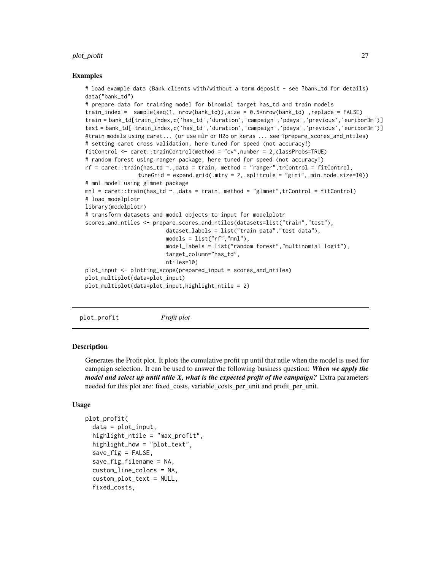#### <span id="page-26-0"></span>plot\_profit 27

#### Examples

```
# load example data (Bank clients with/without a term deposit - see ?bank_td for details)
data("bank_td")
# prepare data for training model for binomial target has_td and train models
train_index = sample(seq(1, nrow(bank_ttd)), size = 0.5*nrow(bank_ttd),replace = FALSE)
train = bank_td[train_index,c('has_td','duration','campaign','pdays','previous','euribor3m')]
test = bank_td[-train_index,c('has_td','duration','campaign','pdays','previous','euribor3m')]
#train models using caret... (or use mlr or H2o or keras ... see ?prepare_scores_and_ntiles)
# setting caret cross validation, here tuned for speed (not accuracy!)
fitControl <- caret::trainControl(method = "cv",number = 2,classProbs=TRUE)
# random forest using ranger package, here tuned for speed (not accuracy!)
rf = \text{caret::train(has\_td ~ ~ .,data = train, method = "ranger", trControl = fitControl,
                tuneGrid = expand.grid(.mtry = 2,.splitrule = "gini",.min.node.size=10))
# mnl model using glmnet package
mnl = \text{caret::train(has_td ~.},\text{data = train, method = "glmnet",trControl = fitControl)}# load modelplotr
library(modelplotr)
# transform datasets and model objects to input for modelplotr
scores_and_ntiles <- prepare_scores_and_ntiles(datasets=list("train","test"),
                         dataset_labels = list("train data","test data"),
                         models = list("rf", "mnl"),model_labels = list("random forest","multinomial logit"),
                          target_column="has_td",
                         ntiles=10)
plot_input <- plotting_scope(prepared_input = scores_and_ntiles)
plot_multiplot(data=plot_input)
plot_multiplot(data=plot_input,highlight_ntile = 2)
```
<span id="page-26-1"></span>plot\_profit *Profit plot*

#### **Description**

Generates the Profit plot. It plots the cumulative profit up until that ntile when the model is used for campaign selection. It can be used to answer the following business question: *When we apply the model and select up until ntile X, what is the expected profit of the campaign?* Extra parameters needed for this plot are: fixed\_costs, variable\_costs\_per\_unit and profit\_per\_unit.

# Usage

```
plot_profit(
  data = plot\_input,highlight_ntile = "max_profit",
  highlight_how = "plot_text",
  save_fig = FALSE,
  save_fig_filename = NA,
  custom_line_colors = NA,
  custom_plot_text = NULL,
  fixed_costs,
```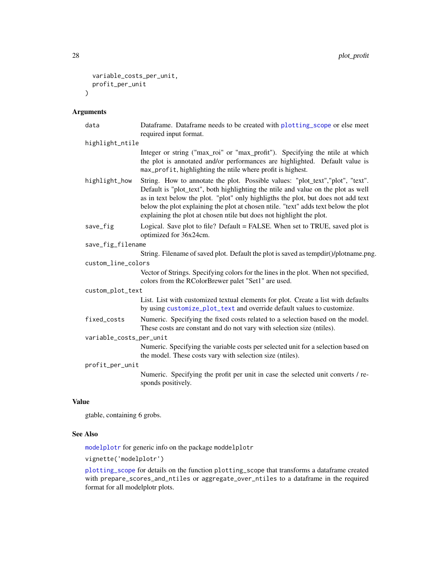```
variable_costs_per_unit,
  profit_per_unit
\lambda
```
#### Arguments

```
data Dataframe. Dataframe needs to be created with plotting_scope or else meet
                required input format.
```

```
highlight_ntile
                  Integer or string ("max_roi" or "max_profit"). Specifying the ntile at which
                  the plot is annotated and/or performances are highlighted. Default value is
                  max_profit, highlighting the ntile where profit is highest.
```

```
highlight_how String. How to annotate the plot. Possible values: "plot_text","plot", "text".
                   Default is "plot_text", both highlighting the ntile and value on the plot as well
                   as in text below the plot. "plot" only highligths the plot, but does not add text
                   below the plot explaining the plot at chosen ntile. "text" adds text below the plot
                   explaining the plot at chosen ntile but does not highlight the plot.
```
save\_fig Logical. Save plot to file? Default = FALSE. When set to TRUE, saved plot is optimized for 36x24cm.

```
save_fig_filename
```
String. Filename of saved plot. Default the plot is saved as tempdir()/plotname.png.

#### custom\_line\_colors

Vector of Strings. Specifying colors for the lines in the plot. When not specified, colors from the RColorBrewer palet "Set1" are used.

#### custom\_plot\_text

List. List with customized textual elements for plot. Create a list with defaults by using [customize\\_plot\\_text](#page-7-1) and override default values to customize.

- fixed\_costs Numeric. Specifying the fixed costs related to a selection based on the model. These costs are constant and do not vary with selection size (ntiles).
- variable\_costs\_per\_unit

Numeric. Specifying the variable costs per selected unit for a selection based on the model. These costs vary with selection size (ntiles).

# profit\_per\_unit

Numeric. Specifying the profit per unit in case the selected unit converts / responds positively.

# Value

gtable, containing 6 grobs.

#### See Also

[modelplotr](#page-9-1) for generic info on the package moddelplotr

vignette('modelplotr')

[plotting\\_scope](#page-12-1) for details on the function plotting\_scope that transforms a dataframe created with prepare\_scores\_and\_ntiles or aggregate\_over\_ntiles to a dataframe in the required format for all modelplotr plots.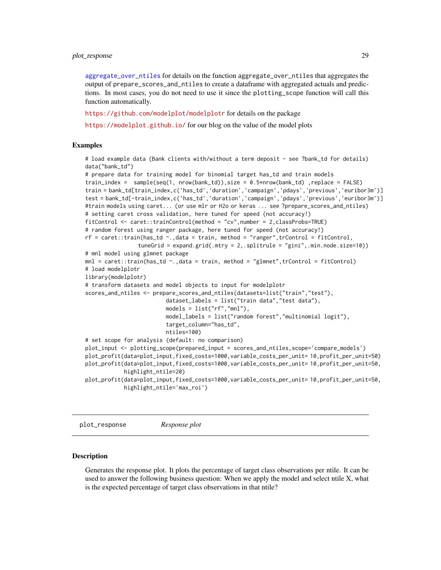### <span id="page-28-0"></span>plot\_response 29

[aggregate\\_over\\_ntiles](#page-1-1) for details on the function aggregate\_over\_ntiles that aggregates the output of prepare\_scores\_and\_ntiles to create a dataframe with aggregated actuals and predictions. In most cases, you do not need to use it since the plotting\_scope function will call this function automatically.

<https://github.com/modelplot/modelplotr> for details on the package

<https://modelplot.github.io/> for our blog on the value of the model plots

# Examples

# load example data (Bank clients with/without a term deposit - see ?bank\_td for details) data("bank\_td")

```
# prepare data for training model for binomial target has_td and train models
train_index = sample(seq(1, nrow(bank_ttd)), size = 0.5*nrow(bank_ttd),replace = FALSE)
train = bank_td[train_index,c('has_td','duration','campaign','pdays','previous','euribor3m')]
test = bank_td[-train_index,c('has_td','duration','campaign','pdays','previous','euribor3m')]
#train models using caret... (or use mlr or H2o or keras ... see ?prepare_scores_and_ntiles)
# setting caret cross validation, here tuned for speed (not accuracy!)
fitControl <- caret::trainControl(method = "cv",number = 2,classProbs=TRUE)
# random forest using ranger package, here tuned for speed (not accuracy!)
rf = \text{caret::train(has_t d \textless '}, \text{data = train, method = "ranger", trControl = fitControl, }tuneGrid = expand.grid(.mtry = 2,.splitrule = "gini",.min.node.size=10))
# mnl model using glmnet package
mnl = caret::train(has_t d \sim ., data = train, method = "glmnet", trControl = fitControl)# load modelplotr
library(modelplotr)
# transform datasets and model objects to input for modelplotr
scores_and_ntiles <- prepare_scores_and_ntiles(datasets=list("train","test"),
                         dataset_labels = list("train data","test data"),
                         models = list("rf", "mnl"),model_labels = list("random forest","multinomial logit"),
                         target_column="has_td",
                         ntiles=100)
# set scope for analysis (default: no comparison)
plot_input <- plotting_scope(prepared_input = scores_and_ntiles,scope='compare_models')
plot_profit(data=plot_input,fixed_costs=1000,variable_costs_per_unit= 10,profit_per_unit=50)
plot_profit(data=plot_input,fixed_costs=1000,variable_costs_per_unit= 10,profit_per_unit=50,
            highlight_ntile=20)
plot_profit(data=plot_input,fixed_costs=1000,variable_costs_per_unit= 10,profit_per_unit=50,
            highlight_ntile='max_roi')
```
<span id="page-28-1"></span>plot\_response *Response plot*

#### Description

Generates the response plot. It plots the percentage of target class observations per ntile. It can be used to answer the following business question: When we apply the model and select ntile X, what is the expected percentage of target class observations in that ntile?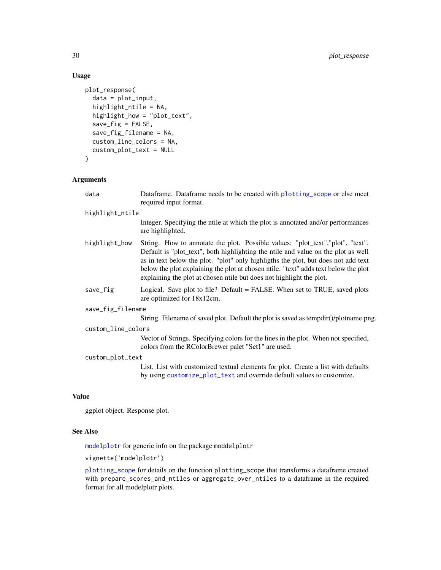```
plot_response(
  data = plot_input,
  highlight_ntile = NA,
 highlight_how = "plot_text",
  save_fig = FALSE,
  save_fig_filename = NA,
  custom_line_colors = NA,
  custom_plot_text = NULL
\mathcal{L}
```
# Arguments

| data               | Dataframe. Dataframe needs to be created with plotting_scope or else meet<br>required input format.                                                                                                                                                                                                                                                                                                                      |  |
|--------------------|--------------------------------------------------------------------------------------------------------------------------------------------------------------------------------------------------------------------------------------------------------------------------------------------------------------------------------------------------------------------------------------------------------------------------|--|
| highlight_ntile    |                                                                                                                                                                                                                                                                                                                                                                                                                          |  |
|                    | Integer. Specifying the ntile at which the plot is annotated and/or performances<br>are highlighted.                                                                                                                                                                                                                                                                                                                     |  |
| highlight_how      | String. How to annotate the plot. Possible values: "plot_text", "plot", "text".<br>Default is "plot_text", both highlighting the ntile and value on the plot as well<br>as in text below the plot. "plot" only highligths the plot, but does not add text<br>below the plot explaining the plot at chosen ntile. "text" adds text below the plot<br>explaining the plot at chosen ntile but does not highlight the plot. |  |
| save_fig           | Logical. Save plot to file? Default = FALSE. When set to TRUE, saved plots<br>are optimized for 18x12cm.                                                                                                                                                                                                                                                                                                                 |  |
| save_fig_filename  |                                                                                                                                                                                                                                                                                                                                                                                                                          |  |
|                    | String. Filename of saved plot. Default the plot is saved as tempdir()/plotname.png.                                                                                                                                                                                                                                                                                                                                     |  |
| custom_line_colors |                                                                                                                                                                                                                                                                                                                                                                                                                          |  |
|                    | Vector of Strings. Specifying colors for the lines in the plot. When not specified,<br>colors from the RColorBrewer palet "Set1" are used.                                                                                                                                                                                                                                                                               |  |
| custom_plot_text   |                                                                                                                                                                                                                                                                                                                                                                                                                          |  |
|                    | List. List with customized textual elements for plot. Create a list with defaults<br>by using customize_plot_text and override default values to customize.                                                                                                                                                                                                                                                              |  |

# Value

ggplot object. Response plot.

# See Also

[modelplotr](#page-9-1) for generic info on the package moddelplotr

vignette('modelplotr')

[plotting\\_scope](#page-12-1) for details on the function plotting\_scope that transforms a dataframe created with prepare\_scores\_and\_ntiles or aggregate\_over\_ntiles to a dataframe in the required format for all modelplotr plots.

<span id="page-29-0"></span>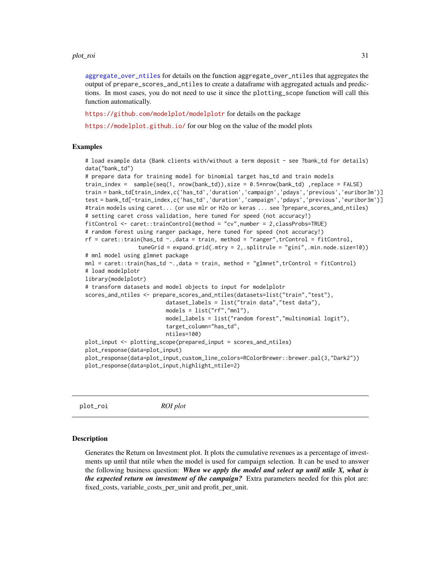#### <span id="page-30-0"></span>plot\_roi 31

[aggregate\\_over\\_ntiles](#page-1-1) for details on the function aggregate\_over\_ntiles that aggregates the output of prepare\_scores\_and\_ntiles to create a dataframe with aggregated actuals and predictions. In most cases, you do not need to use it since the plotting\_scope function will call this function automatically.

<https://github.com/modelplot/modelplotr> for details on the package

<https://modelplot.github.io/> for our blog on the value of the model plots

# Examples

# load example data (Bank clients with/without a term deposit - see ?bank\_td for details) data("bank\_td")

```
# prepare data for training model for binomial target has_td and train models
train_index = sample(seq(1, nrow(bank_td)),size = 0.5*nrow(bank_td) ,replace = FALSE)
train = bank_td[train_index,c('has_td','duration','campaign','pdays','previous','euribor3m')]
test = bank_td[-train_index,c('has_td','duration','campaign','pdays','previous','euribor3m')]
#train models using caret... (or use mlr or H2o or keras ... see ?prepare_scores_and_ntiles)
# setting caret cross validation, here tuned for speed (not accuracy!)
fitControl <- caret::trainControl(method = "cv",number = 2,classProbs=TRUE)
# random forest using ranger package, here tuned for speed (not accuracy!)
rf = \text{caret::train(has_t d \textless ~1, data = train, method = "ranger", trControl = fitControl, }tuneGrid = expand.grid(.mtry = 2,.splitrule = "gini",.min.node.size=10))
# mnl model using glmnet package
mnl = caret::train(has_t d \sim ., data = train, method = "glmnet", trControl = fitControl)# load modelplotr
library(modelplotr)
# transform datasets and model objects to input for modelplotr
scores_and_ntiles <- prepare_scores_and_ntiles(datasets=list("train","test"),
                         dataset_labels = list("train data","test data"),
                         models = list("rf","mnl"),
                         model_labels = list("random forest","multinomial logit"),
                         target_column="has_td",
                         ntiles=100)
plot_input <- plotting_scope(prepared_input = scores_and_ntiles)
plot_response(data=plot_input)
plot_response(data=plot_input,custom_line_colors=RColorBrewer::brewer.pal(3,"Dark2"))
plot_response(data=plot_input,highlight_ntile=2)
```
<span id="page-30-1"></span>plot\_roi *ROI plot*

#### **Description**

Generates the Return on Investment plot. It plots the cumulative revenues as a percentage of investments up until that ntile when the model is used for campaign selection. It can be used to answer the following business question: *When we apply the model and select up until ntile X, what is the expected return on investment of the campaign?* Extra parameters needed for this plot are: fixed\_costs, variable\_costs\_per\_unit and profit\_per\_unit.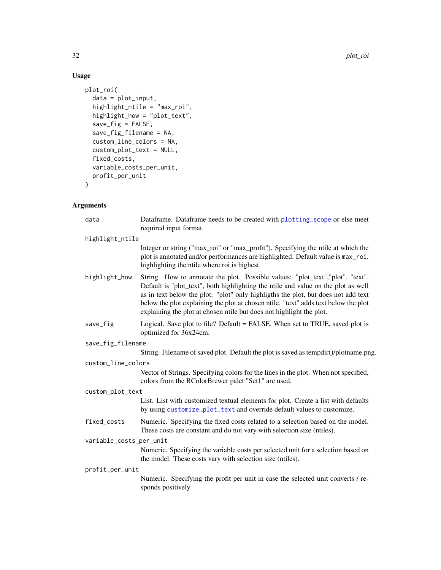```
plot_roi(
  data = plot_input,
  highlight_ntile = "max_roi",
  highlight_how = "plot_text",
  save_fig = FALSE,
  save_fig_filename = NA,
  custom_line_colors = NA,
  custom_plot_text = NULL,
  fixed_costs,
  variable_costs_per_unit,
  profit_per_unit
\mathcal{L}
```
# Arguments

| data                    | Dataframe. Dataframe needs to be created with plotting_scope or else meet<br>required input format.                                                                                                                                                                                                                                                                                                                      |
|-------------------------|--------------------------------------------------------------------------------------------------------------------------------------------------------------------------------------------------------------------------------------------------------------------------------------------------------------------------------------------------------------------------------------------------------------------------|
| highlight_ntile         |                                                                                                                                                                                                                                                                                                                                                                                                                          |
|                         | Integer or string ("max_roi" or "max_profit"). Specifying the ntile at which the<br>plot is annotated and/or performances are highlighted. Default value is max_roi,<br>highlighting the ntile where roi is highest.                                                                                                                                                                                                     |
| highlight_how           | String. How to annotate the plot. Possible values: "plot_text", "plot", "text".<br>Default is "plot_text", both highlighting the ntile and value on the plot as well<br>as in text below the plot. "plot" only highligths the plot, but does not add text<br>below the plot explaining the plot at chosen ntile. "text" adds text below the plot<br>explaining the plot at chosen ntile but does not highlight the plot. |
| save_fig                | Logical. Save plot to file? Default = FALSE. When set to TRUE, saved plot is<br>optimized for 36x24cm.                                                                                                                                                                                                                                                                                                                   |
| save_fig_filename       |                                                                                                                                                                                                                                                                                                                                                                                                                          |
|                         | String. Filename of saved plot. Default the plot is saved as tempdir()/plotname.png.                                                                                                                                                                                                                                                                                                                                     |
| custom_line_colors      |                                                                                                                                                                                                                                                                                                                                                                                                                          |
|                         | Vector of Strings. Specifying colors for the lines in the plot. When not specified,<br>colors from the RColorBrewer palet "Set1" are used.                                                                                                                                                                                                                                                                               |
| custom_plot_text        |                                                                                                                                                                                                                                                                                                                                                                                                                          |
|                         | List. List with customized textual elements for plot. Create a list with defaults<br>by using customize_plot_text and override default values to customize.                                                                                                                                                                                                                                                              |
| fixed_costs             | Numeric. Specifying the fixed costs related to a selection based on the model.<br>These costs are constant and do not vary with selection size (ntiles).                                                                                                                                                                                                                                                                 |
| variable_costs_per_unit |                                                                                                                                                                                                                                                                                                                                                                                                                          |
|                         | Numeric. Specifying the variable costs per selected unit for a selection based on<br>the model. These costs vary with selection size (ntiles).                                                                                                                                                                                                                                                                           |
| profit_per_unit         |                                                                                                                                                                                                                                                                                                                                                                                                                          |
|                         | Numeric. Specifying the profit per unit in case the selected unit converts / re-<br>sponds positively.                                                                                                                                                                                                                                                                                                                   |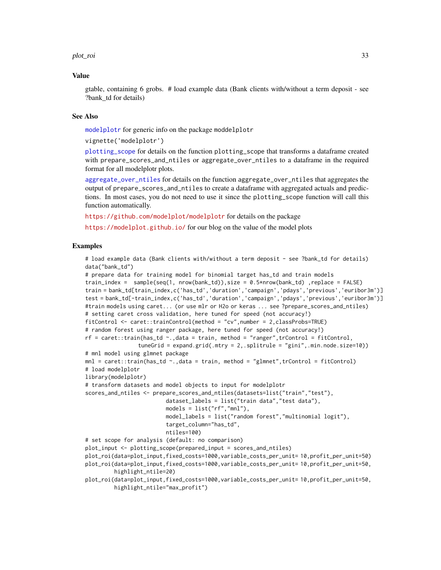#### <span id="page-32-0"></span>plot\_roi 33

# Value

gtable, containing 6 grobs. # load example data (Bank clients with/without a term deposit - see ?bank td for details)

# See Also

[modelplotr](#page-9-1) for generic info on the package moddelplotr

vignette('modelplotr')

[plotting\\_scope](#page-12-1) for details on the function plotting\_scope that transforms a dataframe created with prepare\_scores\_and\_ntiles or aggregate\_over\_ntiles to a dataframe in the required format for all modelplotr plots.

[aggregate\\_over\\_ntiles](#page-1-1) for details on the function aggregate\_over\_ntiles that aggregates the output of prepare\_scores\_and\_ntiles to create a dataframe with aggregated actuals and predictions. In most cases, you do not need to use it since the plotting\_scope function will call this function automatically.

<https://github.com/modelplot/modelplotr> for details on the package

<https://modelplot.github.io/> for our blog on the value of the model plots

#### Examples

```
# load example data (Bank clients with/without a term deposit - see ?bank_td for details)
data("bank_td")
# prepare data for training model for binomial target has_td and train models
train_index = sample(seq(1, nrow(bank_td)),size = 0.5*nrow(bank_td) ,replace = FALSE)
train = bank_td[train_index,c('has_td','duration','campaign','pdays','previous','euribor3m')]
test = bank_td[-train_index,c('has_td','duration','campaign','pdays','previous','euribor3m')]
#train models using caret... (or use mlr or H2o or keras ... see ?prepare_scores_and_ntiles)
# setting caret cross validation, here tuned for speed (not accuracy!)
fitControl <- caret::trainControl(method = "cv",number = 2,classProbs=TRUE)
# random forest using ranger package, here tuned for speed (not accuracy!)
rf = \text{caret::train(has_t d \sim .}, \text{data = train, method = "ranger", trControl = fitControl, }tuneGrid = expand.grid(.mtry = 2,.splitrule = "gini",.min.node.size=10))
# mnl model using glmnet package
mnl = caret::train(has_t d \sim ., data = train, method = "glmnet", trControl = fitControl)# load modelplotr
library(modelplotr)
# transform datasets and model objects to input for modelplotr
scores_and_ntiles <- prepare_scores_and_ntiles(datasets=list("train","test"),
                         dataset_labels = list("train data","test data"),
                         models = list("rf", "mnl"),model_labels = list("random forest","multinomial logit"),
                         target_column="has_td",
                         ntiles=100)
# set scope for analysis (default: no comparison)
plot_input <- plotting_scope(prepared_input = scores_and_ntiles)
plot_roi(data=plot_input,fixed_costs=1000,variable_costs_per_unit= 10,profit_per_unit=50)
plot_roi(data=plot_input,fixed_costs=1000,variable_costs_per_unit= 10,profit_per_unit=50,
         highlight_ntile=20)
plot_roi(data=plot_input,fixed_costs=1000,variable_costs_per_unit= 10,profit_per_unit=50,
         highlight_ntile="max_profit")
```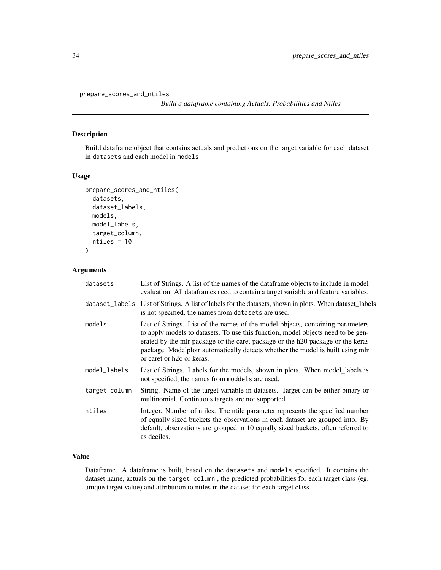```
prepare_scores_and_ntiles
```
*Build a dataframe containing Actuals, Probabilities and Ntiles*

# Description

Build dataframe object that contains actuals and predictions on the target variable for each dataset in datasets and each model in models

# Usage

```
prepare_scores_and_ntiles(
  datasets,
  dataset_labels,
  models,
 model_labels,
  target_column,
  ntiles = 10
)
```
# Arguments

| datasets      | List of Strings. A list of the names of the dataframe objects to include in model<br>evaluation. All data frames need to contain a target variable and feature variables.                                                                                                                                                                                                       |
|---------------|---------------------------------------------------------------------------------------------------------------------------------------------------------------------------------------------------------------------------------------------------------------------------------------------------------------------------------------------------------------------------------|
|               | dataset_labels List of Strings. A list of labels for the datasets, shown in plots. When dataset_labels<br>is not specified, the names from datasets are used.                                                                                                                                                                                                                   |
| models        | List of Strings. List of the names of the model objects, containing parameters<br>to apply models to datasets. To use this function, model objects need to be gen-<br>erated by the mlr package or the caret package or the h20 package or the keras<br>package. Modelplotr automatically detects whether the model is built using mlr<br>or caret or h <sub>20</sub> or keras. |
| model_labels  | List of Strings. Labels for the models, shown in plots. When model_labels is<br>not specified, the names from moddels are used.                                                                                                                                                                                                                                                 |
| target_column | String. Name of the target variable in datasets. Target can be either binary or<br>multinomial. Continuous targets are not supported.                                                                                                                                                                                                                                           |
| ntiles        | Integer. Number of ntiles. The ntile parameter represents the specified number<br>of equally sized buckets the observations in each dataset are grouped into. By<br>default, observations are grouped in 10 equally sized buckets, often referred to<br>as deciles.                                                                                                             |

# Value

Dataframe. A dataframe is built, based on the datasets and models specified. It contains the dataset name, actuals on the target\_column , the predicted probabilities for each target class (eg. unique target value) and attribution to ntiles in the dataset for each target class.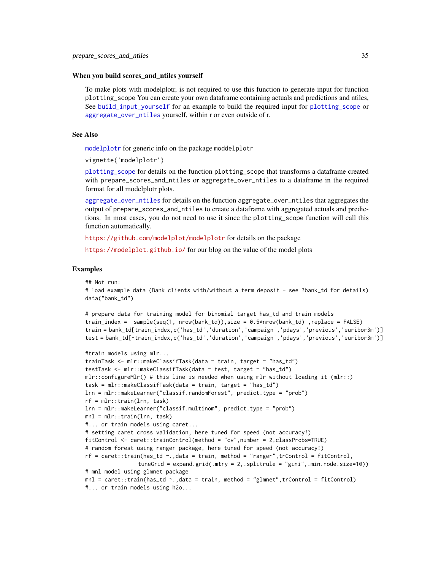#### <span id="page-34-0"></span>When you build scores\_and\_ntiles yourself

To make plots with modelplotr, is not required to use this function to generate input for function plotting\_scope You can create your own dataframe containing actuals and predictions and ntiles, See [build\\_input\\_yourself](#page-5-1) for an example to build the required input for [plotting\\_scope](#page-12-1) or [aggregate\\_over\\_ntiles](#page-1-1) yourself, within r or even outside of r.

# See Also

[modelplotr](#page-9-1) for generic info on the package moddelplotr

vignette('modelplotr')

[plotting\\_scope](#page-12-1) for details on the function plotting\_scope that transforms a dataframe created with prepare\_scores\_and\_ntiles or aggregate\_over\_ntiles to a dataframe in the required format for all modelplotr plots.

[aggregate\\_over\\_ntiles](#page-1-1) for details on the function aggregate\_over\_ntiles that aggregates the output of prepare\_scores\_and\_ntiles to create a dataframe with aggregated actuals and predictions. In most cases, you do not need to use it since the plotting\_scope function will call this function automatically.

<https://github.com/modelplot/modelplotr> for details on the package

<https://modelplot.github.io/> for our blog on the value of the model plots

#### Examples

## Not run:

```
# load example data (Bank clients with/without a term deposit - see ?bank_td for details)
data("bank_td")
```

```
# prepare data for training model for binomial target has_td and train models
train_index = sample(seq(1, nrow(bank_td)),size = 0.5*nrow(bank_td) ,replace = FALSE)
train = bank_td[train_index,c('has_td','duration','campaign','pdays','previous','euribor3m')]
test = bank_td[-train_index,c('has_td','duration','campaign','pdays','previous','euribor3m')]
```

```
#train models using mlr...
trainTask <- mlr::makeClassifTask(data = train, target = "has_td")
testTask <- mlr::makeClassifTask(data = test, target = "has_td")
mlr::configureMlr() # this line is needed when using mlr without loading it (mlr::)
task = mlr::makeClassifTask(data = train, target = "has_td")
lrn = mlr::makeLearner("classif.randomForest", predict.type = "prob")
rf = mlr::train(lrn, task)
lrn = mlr::makeLearner("classif.multinom", predict.type = "prob")
mnl = mlr::train(lrn, task)
#... or train models using caret...
# setting caret cross validation, here tuned for speed (not accuracy!)
fitControl <- caret::trainControl(method = "cv",number = 2,classProbs=TRUE)
# random forest using ranger package, here tuned for speed (not accuracy!)
rf = \text{caret::train(has\_td ~ ~ .,data = train, method = "ranger", trControl = fitControl,
                tuneGrid = expand.grid(.mtry = 2,.splitrule = "gini",.min.node.size=10))
# mnl model using glmnet package
mnl = caret::train(has_td ~.,data = train, method = "glmnet",trControl = fitControl)
#... or train models using h2o...
```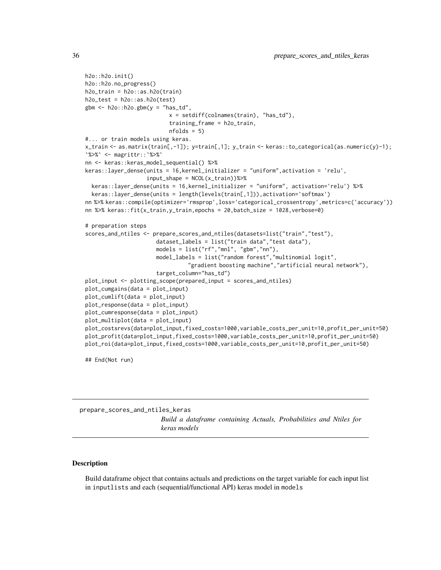```
h2o::h2o.init()
h2o::h2o.no_progress()
h2o_train = h2o::as.h2o(train)
h2o_test = h2o::as.h2o(test)gbm \leftarrow h2o::h2o.gbm(y = "has_t'd",x = \text{setdiff}(\text{colnames}(\text{train}), \text{ "has\_td"}),training_frame = h2o_train,
                          nfolds = 5#... or train models using keras.
x_train <- as.matrix(train[,-1]); y=train[,1]; y_train <- keras::to_categorical(as.numeric(y)-1);
`%>%` <- magrittr::`%>%`
nn <- keras::keras_model_sequential() %>%
keras::layer_dense(units = 16,kernel_initializer = "uniform",activation = 'relu',
                   input\_shape = NCOL(x_train))%>%
  keras::layer_dense(units = 16,kernel_initializer = "uniform", activation='relu') %>%
  keras::layer_dense(units = length(levels(train[,1])),activation='softmax')
nn %>% keras::compile(optimizer='rmsprop',loss='categorical_crossentropy',metrics=c('accuracy'))
nn %>% keras::fit(x_train,y_train,epochs = 20,batch_size = 1028,verbose=0)
# preparation steps
scores_and_ntiles <- prepare_scores_and_ntiles(datasets=list("train","test"),
                      dataset_labels = list("train data","test data"),
                      models = list("rf","mnl", "gbm","nn"),
                      model_labels = list("random forest","multinomial logit",
                                 "gradient boosting machine","artificial neural network"),
                      target_column="has_td")
plot_input <- plotting_scope(prepared_input = scores_and_ntiles)
plot_cumgains(data = plot_input)
plot_cumlift(data = plot_input)
plot_response(data = plot_input)
plot_cumresponse(data = plot_input)
plot_multiplot(data = plot_input)
plot_costsrevs(data=plot_input,fixed_costs=1000,variable_costs_per_unit=10,profit_per_unit=50)
plot_profit(data=plot_input,fixed_costs=1000,variable_costs_per_unit=10,profit_per_unit=50)
plot_roi(data=plot_input,fixed_costs=1000,variable_costs_per_unit=10,profit_per_unit=50)
```
## End(Not run)

<span id="page-35-1"></span>prepare\_scores\_and\_ntiles\_keras *Build a dataframe containing Actuals, Probabilities and Ntiles for keras models*

# Description

Build dataframe object that contains actuals and predictions on the target variable for each input list in inputlists and each (sequential/functional API) keras model in models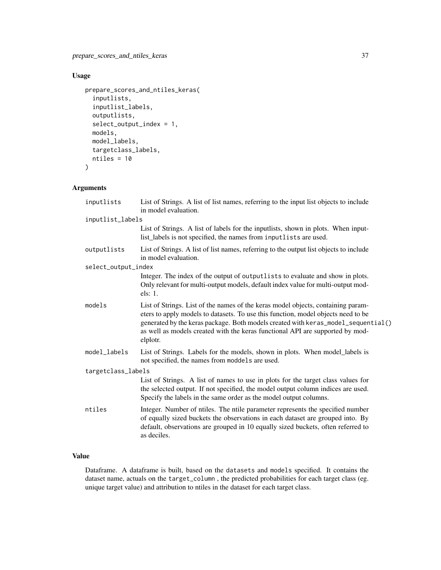```
prepare_scores_and_ntiles_keras(
  inputlists,
  inputlist_labels,
  outputlists,
  select_output_index = 1,
  models,
 model_labels,
  targetclass_labels,
 ntiles = 10
\mathcal{L}
```
# Arguments

| inputlists          | List of Strings. A list of list names, referring to the input list objects to include<br>in model evaluation.                                                                                                                                                                                                                                           |  |
|---------------------|---------------------------------------------------------------------------------------------------------------------------------------------------------------------------------------------------------------------------------------------------------------------------------------------------------------------------------------------------------|--|
| inputlist_labels    |                                                                                                                                                                                                                                                                                                                                                         |  |
|                     | List of Strings. A list of labels for the inputlists, shown in plots. When input-<br>list_labels is not specified, the names from inputlists are used.                                                                                                                                                                                                  |  |
| outputlists         | List of Strings. A list of list names, referring to the output list objects to include<br>in model evaluation.                                                                                                                                                                                                                                          |  |
| select_output_index |                                                                                                                                                                                                                                                                                                                                                         |  |
|                     | Integer. The index of the output of outputlists to evaluate and show in plots.<br>Only relevant for multi-output models, default index value for multi-output mod-<br>els: 1.                                                                                                                                                                           |  |
| models              | List of Strings. List of the names of the keras model objects, containing param-<br>eters to apply models to datasets. To use this function, model objects need to be<br>generated by the keras package. Both models created with keras_model_sequential()<br>as well as models created with the keras functional API are supported by mod-<br>elplotr. |  |
| model_labels        | List of Strings. Labels for the models, shown in plots. When model_labels is<br>not specified, the names from moddels are used.                                                                                                                                                                                                                         |  |
| targetclass_labels  |                                                                                                                                                                                                                                                                                                                                                         |  |
|                     | List of Strings. A list of names to use in plots for the target class values for<br>the selected output. If not specified, the model output column indices are used.<br>Specify the labels in the same order as the model output columns.                                                                                                               |  |
| ntiles              | Integer. Number of ntiles. The ntile parameter represents the specified number<br>of equally sized buckets the observations in each dataset are grouped into. By<br>default, observations are grouped in 10 equally sized buckets, often referred to<br>as deciles.                                                                                     |  |

# Value

Dataframe. A dataframe is built, based on the datasets and models specified. It contains the dataset name, actuals on the target\_column , the predicted probabilities for each target class (eg. unique target value) and attribution to ntiles in the dataset for each target class.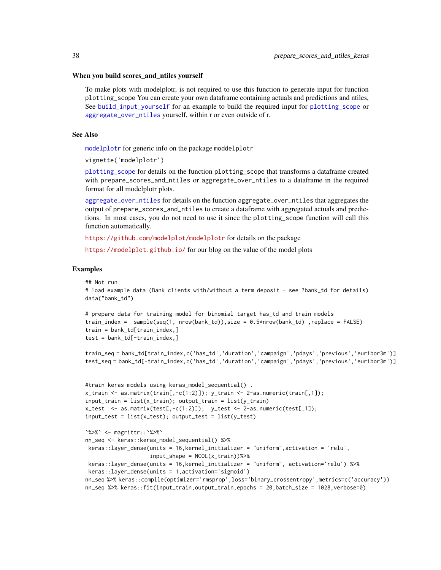#### <span id="page-37-0"></span>When you build scores\_and\_ntiles yourself

To make plots with modelplotr, is not required to use this function to generate input for function plotting\_scope You can create your own dataframe containing actuals and predictions and ntiles, See [build\\_input\\_yourself](#page-5-1) for an example to build the required input for [plotting\\_scope](#page-12-1) or [aggregate\\_over\\_ntiles](#page-1-1) yourself, within r or even outside of r.

# See Also

[modelplotr](#page-9-1) for generic info on the package moddelplotr

vignette('modelplotr')

[plotting\\_scope](#page-12-1) for details on the function plotting\_scope that transforms a dataframe created with prepare\_scores\_and\_ntiles or aggregate\_over\_ntiles to a dataframe in the required format for all modelplotr plots.

[aggregate\\_over\\_ntiles](#page-1-1) for details on the function aggregate\_over\_ntiles that aggregates the output of prepare\_scores\_and\_ntiles to create a dataframe with aggregated actuals and predictions. In most cases, you do not need to use it since the plotting\_scope function will call this function automatically.

<https://github.com/modelplot/modelplotr> for details on the package

<https://modelplot.github.io/> for our blog on the value of the model plots

#### Examples

## Not run:

```
# load example data (Bank clients with/without a term deposit - see ?bank_td for details)
data("bank_td")
```

```
# prepare data for training model for binomial target has_td and train models
train_index = sample(seq(1, nrow(bank_td)),size = 0.5*nrow(bank_td) ,replace = FALSE)
train = bank_td[train_index,]
test = bank_t d[-train_index, ]
```
train\_seq = bank\_td[train\_index,c('has\_td','duration','campaign','pdays','previous','euribor3m')] test\_seq = bank\_td[-train\_index,c('has\_td','duration','campaign','pdays','previous','euribor3m')]

```
#train keras models using keras_model_sequential() .
x_{\text{train}} \leftarrow \text{as_matrix}(\text{train}[, -c(1:2)]); y_{\text{train}} \leftarrow 2-\text{as.numeric}(\text{train}[, 1]);input_train = list(x_train); output_train = list(y_train)x_test \leftarrow as_matrix(test[, -c(1:2)]); y_test \leftarrow 2-as.numeric(test[, 1]);input_test = list(x_test); output_test = list(y_test)
```

```
`%>%` <- magrittr::`%>%`
nn_seq <- keras::keras_model_sequential() %>%
keras::layer_dense(units = 16,kernel_initializer = "uniform",activation = 'relu',
                   input_shape = NCOL(x_train))%>%
keras::layer_dense(units = 16,kernel_initializer = "uniform", activation='relu') %>%
keras::layer_dense(units = 1,activation='sigmoid')
nn_seq %>% keras::compile(optimizer='rmsprop',loss='binary_crossentropy',metrics=c('accuracy'))
nn_seq %>% keras::fit(input_train,output_train,epochs = 20,batch_size = 1028,verbose=0)
```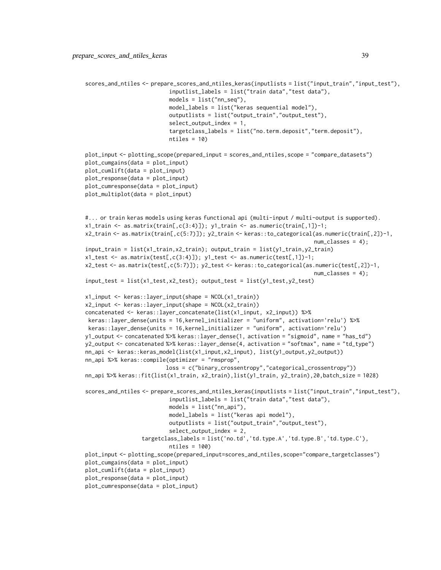```
scores_and_ntiles <- prepare_scores_and_ntiles_keras(inputlists = list("input_train","input_test"),
                          inputlist_labels = list("train data","test data"),
                          models = list("nn_seq"),
                          model_labels = list("keras sequential model"),
                          outputlists = list("output_train","output_test"),
                          select_output_index = 1,
                          targetclass_labels = list("no.term.deposit","term.deposit"),
                          ntiles = 10)
plot_input <- plotting_scope(prepared_input = scores_and_ntiles,scope = "compare_datasets")
plot_cumgains(data = plot_input)
plot_cumlift(data = plot_input)
plot_response(data = plot_input)
plot_cumresponse(data = plot_input)
plot_multiplot(data = plot_input)
#... or train keras models using keras functional api (multi-input / multi-output is supported).
x1_train <- as.matrix(train[,c(3:4)]); y1_train <- as.numeric(train[,1])-1;
x2_train <- as.matrix(train[,c(5:7)]); y2_train <- keras::to_categorical(as.numeric(train[,2])-1,
                                                                        num\_classes = 4;
input_train = list(x1_train,x2_train); output_train = list(y1_train,y2_train)
x1_test \leftarrow as_matrix(test[, c(3:4)]); y1_test \leftarrow as.numeric(test[, 1])-1;x2_test <- as.matrix(test[,c(5:7)]); y2_test <- keras::to_categorical(as.numeric(test[,2])-1,
                                                                        num_classes = 4);
input_test = list(x1_test,x2_test); output_test = list(y1_test,y2_test)x1_input <- keras::layer_input(shape = NCOL(x1_train))
x2_input <- keras::layer_input(shape = NCOL(x2_train))
concatenated <- keras::layer_concatenate(list(x1_input, x2_input)) %>%
keras::layer_dense(units = 16,kernel_initializer = "uniform", activation='relu') %>%
keras::layer_dense(units = 16,kernel_initializer = "uniform", activation='relu')
y1_output <- concatenated %>% keras::layer_dense(1, activation = "sigmoid", name = "has_td")
y2_output <- concatenated %>% keras::layer_dense(4, activation = "softmax", name = "td_type")
nn_api <- keras::keras_model(list(x1_input,x2_input), list(y1_output,y2_output))
nn_api %>% keras::compile(optimizer = "rmsprop",
                         loss = c("binary_crossentropy","categorical_crossentropy"))
nn_api %>% keras::fit(list(x1_train, x2_train),list(y1_train, y2_train),20,batch_size = 1028)
scores_and_ntiles <- prepare_scores_and_ntiles_keras(inputlists = list("input_train","input_test"),
                          inputlist_labels = list("train data","test data"),
                          models = list("nn_api"),
                          model_labels = list("keras api model"),
                          outputlists = list("output_train","output_test"),
                          select_output_index = 2,
                 targetclass_labels = list('no.td','td.type.A','td.type.B','td.type.C'),
                          ntiles = 100)
plot_input <- plotting_scope(prepared_input=scores_and_ntiles,scope="compare_targetclasses")
plot_cumgains(data = plot_input)
plot_cumlift(data = plot_input)
plot_response(data = plot_input)
plot_cumresponse(data = plot_input)
```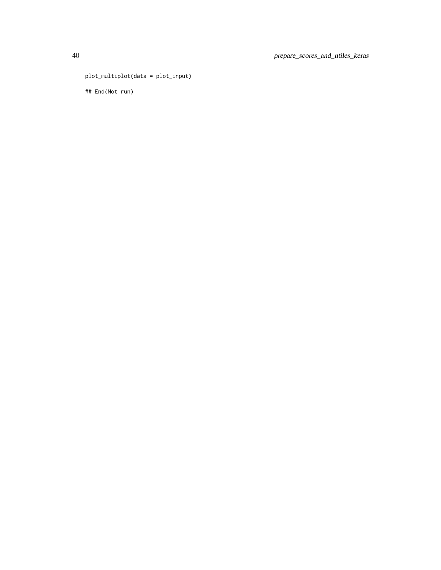```
plot_multiplot(data = plot_input)
```
## End(Not run)